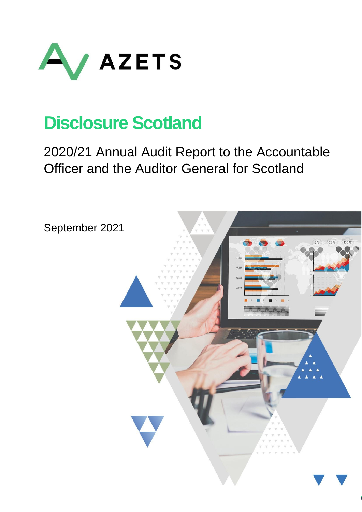

# **Disclosure Scotland**

# 2020/21 Annual Audit Report to the Accountable Officer and the Auditor General for Scotland

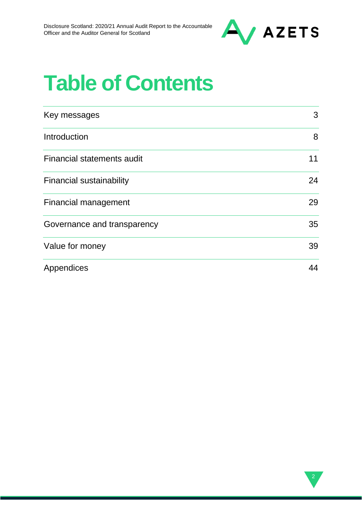

# **Table of Contents**

| Key messages                      | 3  |
|-----------------------------------|----|
| Introduction                      | 8  |
| <b>Financial statements audit</b> | 11 |
| <b>Financial sustainability</b>   | 24 |
| <b>Financial management</b>       | 29 |
| Governance and transparency       | 35 |
| Value for money                   | 39 |
| Appendices                        | 44 |

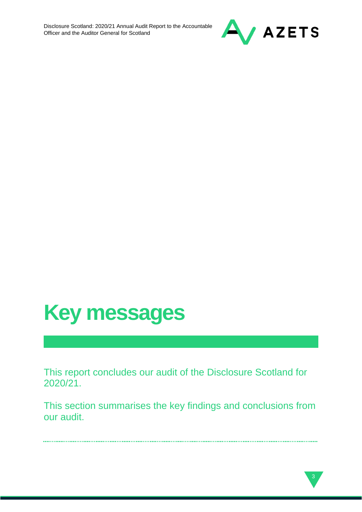



This report concludes our audit of the Disclosure Scotland for 2020/21.

This section summarises the key findings and conclusions from our audit.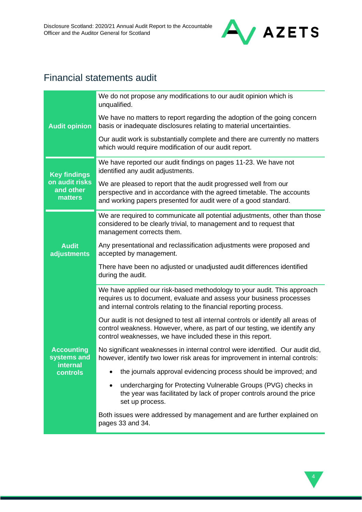

# Financial statements audit

|                                               | We do not propose any modifications to our audit opinion which is<br>unqualified.                                                                                                                                           |
|-----------------------------------------------|-----------------------------------------------------------------------------------------------------------------------------------------------------------------------------------------------------------------------------|
| <b>Audit opinion</b>                          | We have no matters to report regarding the adoption of the going concern<br>basis or inadequate disclosures relating to material uncertainties.                                                                             |
|                                               | Our audit work is substantially complete and there are currently no matters<br>which would require modification of our audit report.                                                                                        |
| <b>Key findings</b>                           | We have reported our audit findings on pages 11-23. We have not<br>identified any audit adjustments.                                                                                                                        |
| on audit risks<br>and other<br><b>matters</b> | We are pleased to report that the audit progressed well from our<br>perspective and in accordance with the agreed timetable. The accounts<br>and working papers presented for audit were of a good standard.                |
|                                               | We are required to communicate all potential adjustments, other than those<br>considered to be clearly trivial, to management and to request that<br>management corrects them.                                              |
| <b>Audit</b><br>adjustments                   | Any presentational and reclassification adjustments were proposed and<br>accepted by management.                                                                                                                            |
|                                               | There have been no adjusted or unadjusted audit differences identified<br>during the audit.                                                                                                                                 |
|                                               | We have applied our risk-based methodology to your audit. This approach<br>requires us to document, evaluate and assess your business processes<br>and internal controls relating to the financial reporting process.       |
|                                               | Our audit is not designed to test all internal controls or identify all areas of<br>control weakness. However, where, as part of our testing, we identify any<br>control weaknesses, we have included these in this report. |
| <b>Accounting</b><br>systems and              | No significant weaknesses in internal control were identified. Our audit did,<br>however, identify two lower risk areas for improvement in internal controls:                                                               |
| <b>internal</b><br>controls                   | the journals approval evidencing process should be improved; and                                                                                                                                                            |
|                                               | undercharging for Protecting Vulnerable Groups (PVG) checks in<br>$\bullet$<br>the year was facilitated by lack of proper controls around the price<br>set up process.                                                      |
|                                               | Both issues were addressed by management and are further explained on<br>pages 33 and 34.                                                                                                                                   |

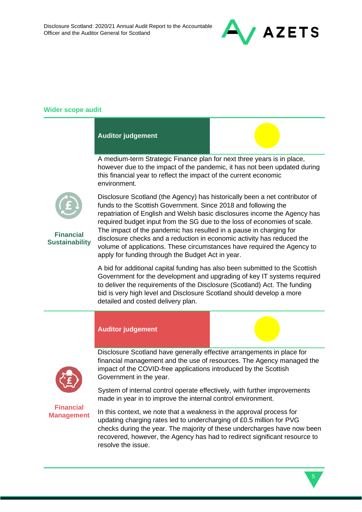

### **Wider scope audit**

#### **Auditor judgement**

A medium-term Strategic Finance plan for next three years is in place, however due to the impact of the pandemic, it has not been updated during this financial year to reflect the impact of the current economic environment.



**Financial Sustainability** Disclosure Scotland (the Agency) has historically been a net contributor of funds to the Scottish Government. Since 2018 and following the repatriation of English and Welsh basic disclosures income the Agency has required budget input from the SG due to the loss of economies of scale. The impact of the pandemic has resulted in a pause in charging for disclosure checks and a reduction in economic activity has reduced the volume of applications. These circumstances have required the Agency to apply for funding through the Budget Act in year.

A bid for additional capital funding has also been submitted to the Scottish Government for the development and upgrading of key IT systems required to deliver the requirements of the Disclosure (Scotland) Act. The funding bid is very high level and Disclosure Scotland should develop a more detailed and costed delivery plan.

#### **Auditor judgement**



Disclosure Scotland have generally effective arrangements in place for financial management and the use of resources. The Agency managed the impact of the COVID-free applications introduced by the Scottish Government in the year.

System of internal control operate effectively, with further improvements made in year in to improve the internal control environment.

**Financial Management**

In this context, we note that a weakness in the approval process for updating charging rates led to undercharging of £0.5 million for PVG checks during the year. The majority of these undercharges have now been recovered, however, the Agency has had to redirect significant resource to resolve the issue.

5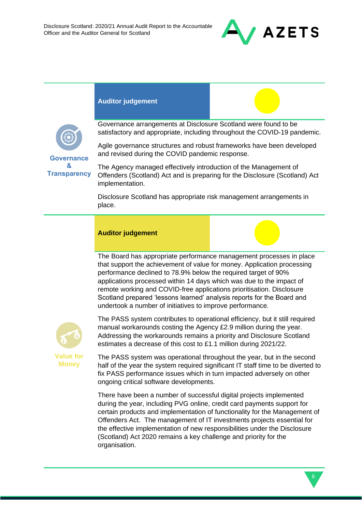

### **Auditor judgement**

**Governance & Transparency** Governance arrangements at Disclosure Scotland were found to be satisfactory and appropriate, including throughout the COVID-19 pandemic.

Agile governance structures and robust frameworks have been developed and revised during the COVID pandemic response.

The Agency managed effectively introduction of the Management of Offenders (Scotland) Act and is preparing for the Disclosure (Scotland) Act implementation.

Disclosure Scotland has appropriate risk management arrangements in place.

#### **Auditor judgement**

The Board has appropriate performance management processes in place that support the achievement of value for money. Application processing performance declined to 78.9% below the required target of 90% applications processed within 14 days which was due to the impact of remote working and COVID-free applications prioritisation. Disclosure Scotland prepared 'lessons learned' analysis reports for the Board and undertook a number of initiatives to improve performance.



**Money**

The PASS system contributes to operational efficiency, but it still required manual workarounds costing the Agency £2.9 million during the year. Addressing the workarounds remains a priority and Disclosure Scotland estimates a decrease of this cost to £1.1 million during 2021/22.

The PASS system was operational throughout the year, but in the second half of the year the system required significant IT staff time to be diverted to fix PASS performance issues which in turn impacted adversely on other ongoing critical software developments.

There have been a number of successful digital projects implemented during the year, including PVG online, credit card payments support for certain products and implementation of functionality for the Management of Offenders Act. The management of IT investments projects essential for the effective implementation of new responsibilities under the Disclosure (Scotland) Act 2020 remains a key challenge and priority for the organisation.

6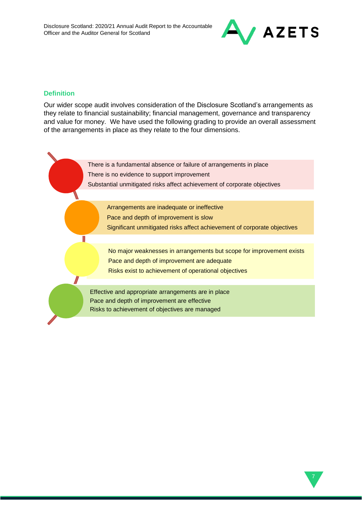

### **Definition**

T

Our wider scope audit involves consideration of the Disclosure Scotland's arrangements as they relate to financial sustainability; financial management, governance and transparency and value for money. We have used the following grading to provide an overall assessment of the arrangements in place as they relate to the four dimensions.

> There is a fundamental absence or failure of arrangements in place There is no evidence to support improvement Substantial unmitigated risks affect achievement of corporate objectives

> > Arrangements are inadequate or ineffective Pace and depth of improvement is slow Significant unmitigated risks affect achievement of corporate objectives

No major weaknesses in arrangements but scope for improvement exists Pace and depth of improvement are adequate Risks exist to achievement of operational objectives

Effective and appropriate arrangements are in place Pace and depth of improvement are effective Risks to achievement of objectives are managed

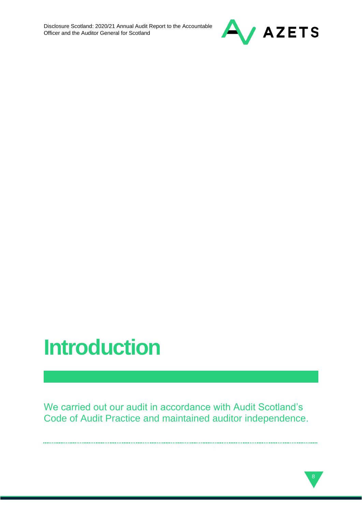

# **Introduction**

We carried out our audit in accordance with Audit Scotland's Code of Audit Practice and maintained auditor independence.

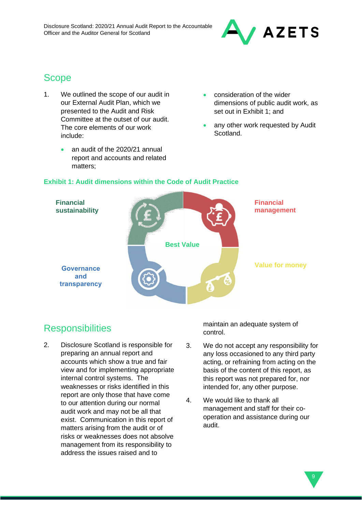

# Scope

- 1. We outlined the scope of our audit in our External Audit Plan, which we presented to the Audit and Risk Committee at the outset of our audit. The core elements of our work include:
	- an audit of the 2020/21 annual report and accounts and related matters;
- consideration of the wider dimensions of public audit work, as set out in Exhibit 1; and
- any other work requested by Audit Scotland.



### **Exhibit 1: Audit dimensions within the Code of Audit Practice**

# **Responsibilities**

2. Disclosure Scotland is responsible for preparing an annual report and accounts which show a true and fair view and for implementing appropriate internal control systems. The weaknesses or risks identified in this report are only those that have come to our attention during our normal audit work and may not be all that exist. Communication in this report of matters arising from the audit or of risks or weaknesses does not absolve management from its responsibility to address the issues raised and to

maintain an adequate system of control.

- 3. We do not accept any responsibility for any loss occasioned to any third party acting, or refraining from acting on the basis of the content of this report, as this report was not prepared for, nor intended for, any other purpose.
- 4. We would like to thank all management and staff for their cooperation and assistance during our audit.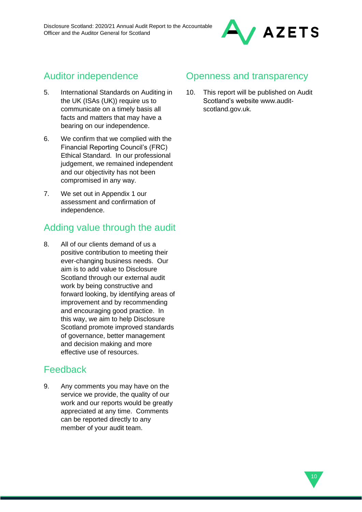

# Auditor independence

- 5. International Standards on Auditing in the UK (ISAs (UK)) require us to communicate on a timely basis all facts and matters that may have a bearing on our independence.
- 6. We confirm that we complied with the Financial Reporting Council's (FRC) Ethical Standard. In our professional judgement, we remained independent and our objectivity has not been compromised in any way.
- 7. We set out in Appendix 1 our assessment and confirmation of independence.

# Adding value through the audit

8. All of our clients demand of us a positive contribution to meeting their ever-changing business needs. Our aim is to add value to Disclosure Scotland through our external audit work by being constructive and forward looking, by identifying areas of improvement and by recommending and encouraging good practice. In this way, we aim to help Disclosure Scotland promote improved standards of governance, better management and decision making and more effective use of resources.

### Feedback

9. Any comments you may have on the service we provide, the quality of our work and our reports would be greatly appreciated at any time. Comments can be reported directly to any member of your audit team.

### Openness and transparency

10. This report will be published on Audit Scotland's website www.auditscotland.gov.uk.

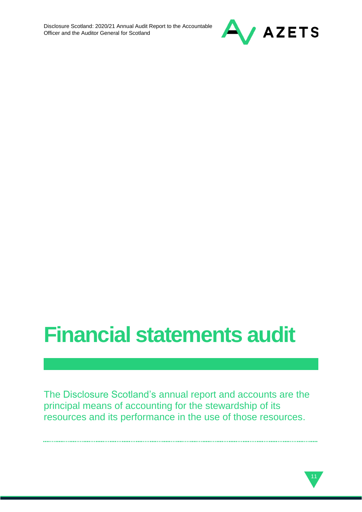

# **Financial statements audit**

The Disclosure Scotland's annual report and accounts are the principal means of accounting for the stewardship of its resources and its performance in the use of those resources.

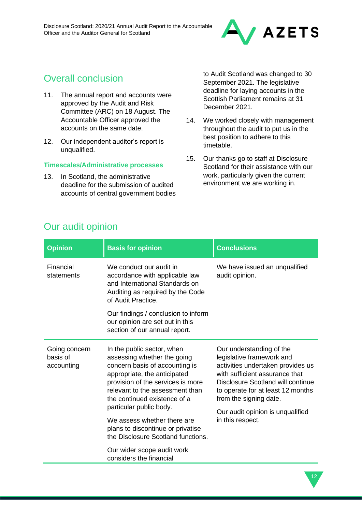

# Overall conclusion

- 11. The annual report and accounts were approved by the Audit and Risk Committee (ARC) on 18 August. The Accountable Officer approved the accounts on the same date.
- 12. Our independent auditor's report is unqualified.

### **Timescales/Administrative processes**

13. In Scotland, the administrative deadline for the submission of audited accounts of central government bodies to Audit Scotland was changed to 30 September 2021. The legislative deadline for laying accounts in the Scottish Parliament remains at 31 December 2021.

- 14. We worked closely with management throughout the audit to put us in the best position to adhere to this timetable.
- 15. Our thanks go to staff at Disclosure Scotland for their assistance with our work, particularly given the current environment we are working in.

12

| <b>Opinion</b>                          | <b>Basis for opinion</b>                                                                                                                                                                                                                                                                                                                                                 | <b>Conclusions</b>                                                                                                                                                                                                                                                                       |
|-----------------------------------------|--------------------------------------------------------------------------------------------------------------------------------------------------------------------------------------------------------------------------------------------------------------------------------------------------------------------------------------------------------------------------|------------------------------------------------------------------------------------------------------------------------------------------------------------------------------------------------------------------------------------------------------------------------------------------|
| Financial<br>statements                 | We conduct our audit in<br>accordance with applicable law<br>and International Standards on<br>Auditing as required by the Code<br>of Audit Practice.                                                                                                                                                                                                                    | We have issued an unqualified<br>audit opinion.                                                                                                                                                                                                                                          |
|                                         | Our findings / conclusion to inform<br>our opinion are set out in this<br>section of our annual report.                                                                                                                                                                                                                                                                  |                                                                                                                                                                                                                                                                                          |
| Going concern<br>basis of<br>accounting | In the public sector, when<br>assessing whether the going<br>concern basis of accounting is<br>appropriate, the anticipated<br>provision of the services is more<br>relevant to the assessment than<br>the continued existence of a<br>particular public body.<br>We assess whether there are<br>plans to discontinue or privatise<br>the Disclosure Scotland functions. | Our understanding of the<br>legislative framework and<br>activities undertaken provides us<br>with sufficient assurance that<br>Disclosure Scotland will continue<br>to operate for at least 12 months<br>from the signing date.<br>Our audit opinion is unqualified<br>in this respect. |
|                                         | Our wider scope audit work<br>considers the financial                                                                                                                                                                                                                                                                                                                    |                                                                                                                                                                                                                                                                                          |

# Our audit opinion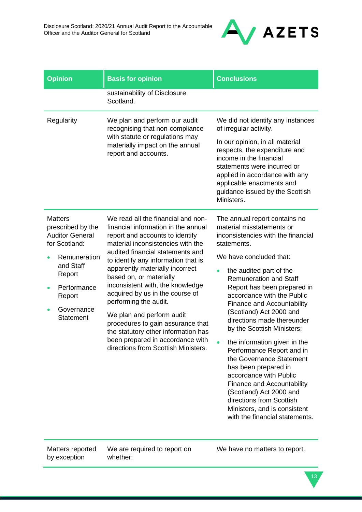

| <b>Opinion</b>                                                                                                                                                                   | <b>Basis for opinion</b>                                                                                                                                                                                                                                                                                                                                                                                                                                                                                                                                                       | <b>Conclusions</b>                                                                                                                                                                                                                                                                                                                                                                                                                                                                                                                                                                                                                                                                                             |
|----------------------------------------------------------------------------------------------------------------------------------------------------------------------------------|--------------------------------------------------------------------------------------------------------------------------------------------------------------------------------------------------------------------------------------------------------------------------------------------------------------------------------------------------------------------------------------------------------------------------------------------------------------------------------------------------------------------------------------------------------------------------------|----------------------------------------------------------------------------------------------------------------------------------------------------------------------------------------------------------------------------------------------------------------------------------------------------------------------------------------------------------------------------------------------------------------------------------------------------------------------------------------------------------------------------------------------------------------------------------------------------------------------------------------------------------------------------------------------------------------|
|                                                                                                                                                                                  | sustainability of Disclosure<br>Scotland.                                                                                                                                                                                                                                                                                                                                                                                                                                                                                                                                      |                                                                                                                                                                                                                                                                                                                                                                                                                                                                                                                                                                                                                                                                                                                |
| Regularity                                                                                                                                                                       | We plan and perform our audit<br>recognising that non-compliance<br>with statute or regulations may<br>materially impact on the annual<br>report and accounts.                                                                                                                                                                                                                                                                                                                                                                                                                 | We did not identify any instances<br>of irregular activity.<br>In our opinion, in all material<br>respects, the expenditure and<br>income in the financial<br>statements were incurred or<br>applied in accordance with any<br>applicable enactments and<br>guidance issued by the Scottish<br>Ministers.                                                                                                                                                                                                                                                                                                                                                                                                      |
| <b>Matters</b><br>prescribed by the<br><b>Auditor General</b><br>for Scotland:<br>Remuneration<br>and Staff<br>Report<br>Performance<br>Report<br>Governance<br><b>Statement</b> | We read all the financial and non-<br>financial information in the annual<br>report and accounts to identify<br>material inconsistencies with the<br>audited financial statements and<br>to identify any information that is<br>apparently materially incorrect<br>based on, or materially<br>inconsistent with, the knowledge<br>acquired by us in the course of<br>performing the audit.<br>We plan and perform audit<br>procedures to gain assurance that<br>the statutory other information has<br>been prepared in accordance with<br>directions from Scottish Ministers. | The annual report contains no<br>material misstatements or<br>inconsistencies with the financial<br>statements.<br>We have concluded that:<br>the audited part of the<br>$\bullet$<br><b>Remuneration and Staff</b><br>Report has been prepared in<br>accordance with the Public<br><b>Finance and Accountability</b><br>(Scotland) Act 2000 and<br>directions made thereunder<br>by the Scottish Ministers;<br>the information given in the<br>Performance Report and in<br>the Governance Statement<br>has been prepared in<br>accordance with Public<br>Finance and Accountability<br>(Scotland) Act 2000 and<br>directions from Scottish<br>Ministers, and is consistent<br>with the financial statements. |

Matters reported by exception

We are required to report on whether:

We have no matters to report.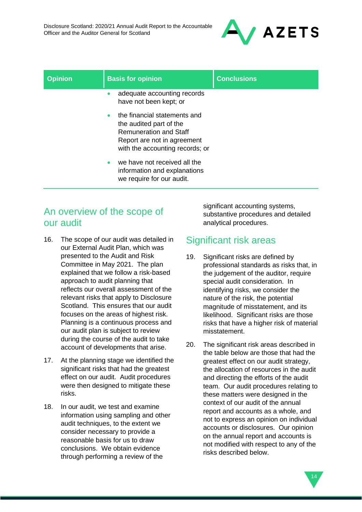

| <b>Opinion</b> | <b>Basis for opinion</b>                                                                                                                                                | <b>Conclusions</b> |
|----------------|-------------------------------------------------------------------------------------------------------------------------------------------------------------------------|--------------------|
|                | adequate accounting records<br>$\bullet$<br>have not been kept; or                                                                                                      |                    |
|                | the financial statements and<br>$\bullet$<br>the audited part of the<br><b>Remuneration and Staff</b><br>Report are not in agreement<br>with the accounting records; or |                    |
|                | we have not received all the<br>$\bullet$<br>information and explanations<br>we require for our audit.                                                                  |                    |

### An overview of the scope of our audit

- 16. The scope of our audit was detailed in our External Audit Plan, which was presented to the Audit and Risk Committee in May 2021. The plan explained that we follow a risk-based approach to audit planning that reflects our overall assessment of the relevant risks that apply to Disclosure Scotland. This ensures that our audit focuses on the areas of highest risk. Planning is a continuous process and our audit plan is subject to review during the course of the audit to take account of developments that arise.
- 17. At the planning stage we identified the significant risks that had the greatest effect on our audit. Audit procedures were then designed to mitigate these risks.
- 18. In our audit, we test and examine information using sampling and other audit techniques, to the extent we consider necessary to provide a reasonable basis for us to draw conclusions. We obtain evidence through performing a review of the

significant accounting systems, substantive procedures and detailed analytical procedures.

## Significant risk areas

- 19. Significant risks are defined by professional standards as risks that, in the judgement of the auditor, require special audit consideration. In identifying risks, we consider the nature of the risk, the potential magnitude of misstatement, and its likelihood. Significant risks are those risks that have a higher risk of material misstatement.
- 20. The significant risk areas described in the table below are those that had the greatest effect on our audit strategy, the allocation of resources in the audit and directing the efforts of the audit team. Our audit procedures relating to these matters were designed in the context of our audit of the annual report and accounts as a whole, and not to express an opinion on individual accounts or disclosures. Our opinion on the annual report and accounts is not modified with respect to any of the risks described below.

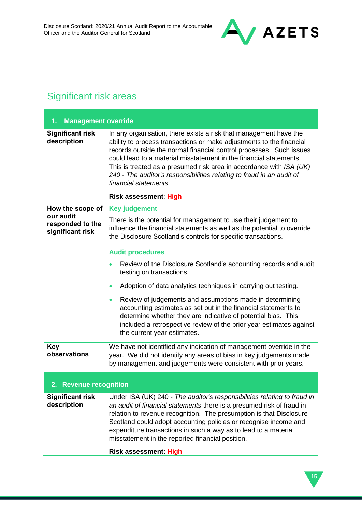

# Significant risk areas

| <b>Management override</b><br>1.                  |                                                                                                                                                                                                                                                                                                                                                                                                                                                                 |  |
|---------------------------------------------------|-----------------------------------------------------------------------------------------------------------------------------------------------------------------------------------------------------------------------------------------------------------------------------------------------------------------------------------------------------------------------------------------------------------------------------------------------------------------|--|
| <b>Significant risk</b><br>description            | In any organisation, there exists a risk that management have the<br>ability to process transactions or make adjustments to the financial<br>records outside the normal financial control processes. Such issues<br>could lead to a material misstatement in the financial statements.<br>This is treated as a presumed risk area in accordance with ISA (UK)<br>240 - The auditor's responsibilities relating to fraud in an audit of<br>financial statements. |  |
|                                                   | <b>Risk assessment: High</b>                                                                                                                                                                                                                                                                                                                                                                                                                                    |  |
| How the scope of                                  | <b>Key judgement</b>                                                                                                                                                                                                                                                                                                                                                                                                                                            |  |
| our audit<br>responded to the<br>significant risk | There is the potential for management to use their judgement to<br>influence the financial statements as well as the potential to override<br>the Disclosure Scotland's controls for specific transactions.                                                                                                                                                                                                                                                     |  |
|                                                   | <b>Audit procedures</b>                                                                                                                                                                                                                                                                                                                                                                                                                                         |  |
|                                                   | Review of the Disclosure Scotland's accounting records and audit<br>testing on transactions.                                                                                                                                                                                                                                                                                                                                                                    |  |
|                                                   | Adoption of data analytics techniques in carrying out testing.<br>$\bullet$                                                                                                                                                                                                                                                                                                                                                                                     |  |
|                                                   | Review of judgements and assumptions made in determining<br>$\bullet$<br>accounting estimates as set out in the financial statements to<br>determine whether they are indicative of potential bias. This<br>included a retrospective review of the prior year estimates against<br>the current year estimates.                                                                                                                                                  |  |
| <b>Key</b><br>observations                        | We have not identified any indication of management override in the<br>year. We did not identify any areas of bias in key judgements made<br>by management and judgements were consistent with prior years.                                                                                                                                                                                                                                                     |  |
| 2. Revenue recognition                            |                                                                                                                                                                                                                                                                                                                                                                                                                                                                 |  |
| <b>Significant risk</b><br>description            | Under ISA (UK) 240 - The auditor's responsibilities relating to fraud in<br>an audit of financial statements there is a presumed risk of fraud in<br>relation to revenue recognition. The presumption is that Disclosure<br>Scotland could adopt accounting policies or recognise income and<br>expenditure transactions in such a way as to lead to a material<br>misstatement in the reported financial position.                                             |  |
|                                                   | <b>Risk assessment: High</b>                                                                                                                                                                                                                                                                                                                                                                                                                                    |  |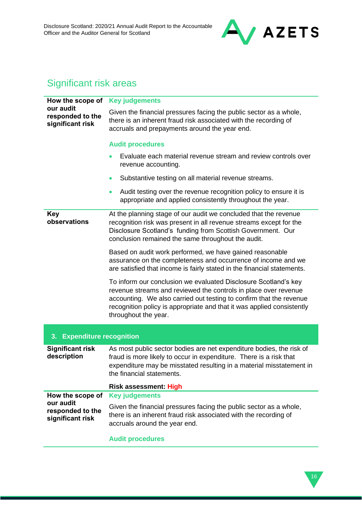

# Significant risk areas

| How the scope of                                  | <b>Key judgements</b>                                                                                                                                                                                                                                                                                       |  |
|---------------------------------------------------|-------------------------------------------------------------------------------------------------------------------------------------------------------------------------------------------------------------------------------------------------------------------------------------------------------------|--|
| our audit<br>responded to the<br>significant risk | Given the financial pressures facing the public sector as a whole,<br>there is an inherent fraud risk associated with the recording of<br>accruals and prepayments around the year end.                                                                                                                     |  |
|                                                   | <b>Audit procedures</b>                                                                                                                                                                                                                                                                                     |  |
|                                                   | Evaluate each material revenue stream and review controls over<br>$\bullet$<br>revenue accounting.                                                                                                                                                                                                          |  |
|                                                   | Substantive testing on all material revenue streams.<br>$\bullet$                                                                                                                                                                                                                                           |  |
|                                                   | Audit testing over the revenue recognition policy to ensure it is<br>$\bullet$<br>appropriate and applied consistently throughout the year.                                                                                                                                                                 |  |
| Key<br>observations                               | At the planning stage of our audit we concluded that the revenue<br>recognition risk was present in all revenue streams except for the<br>Disclosure Scotland's funding from Scottish Government. Our<br>conclusion remained the same throughout the audit.                                                 |  |
|                                                   | Based on audit work performed, we have gained reasonable<br>assurance on the completeness and occurrence of income and we<br>are satisfied that income is fairly stated in the financial statements.                                                                                                        |  |
|                                                   | To inform our conclusion we evaluated Disclosure Scotland's key<br>revenue streams and reviewed the controls in place over revenue<br>accounting. We also carried out testing to confirm that the revenue<br>recognition policy is appropriate and that it was applied consistently<br>throughout the year. |  |
| 3. Expenditure recognition                        |                                                                                                                                                                                                                                                                                                             |  |
| <b>Significant risk</b><br>description            | As most public sector bodies are net expenditure bodies, the risk of<br>fraud is more likely to occur in expenditure. There is a risk that<br>expenditure may be misstated resulting in a material misstatement in<br>the financial statements.                                                             |  |
|                                                   | <b>Risk assessment: High</b>                                                                                                                                                                                                                                                                                |  |
| How the scope of<br>our audit                     | <b>Key judgements</b>                                                                                                                                                                                                                                                                                       |  |
| responded to the<br>significant risk              | Given the financial pressures facing the public sector as a whole,<br>there is an inherent fraud risk associated with the recording of<br>accruals around the year end.                                                                                                                                     |  |
|                                                   | <b>Audit procedures</b>                                                                                                                                                                                                                                                                                     |  |

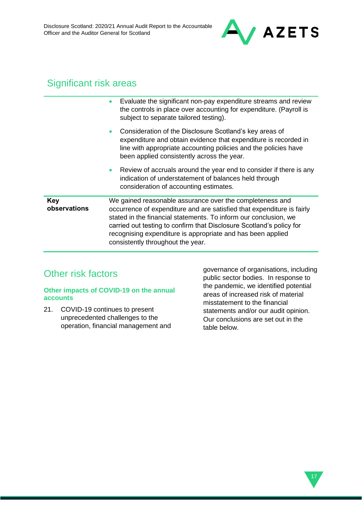

## Significant risk areas

|                            | Evaluate the significant non-pay expenditure streams and review<br>the controls in place over accounting for expenditure. (Payroll is<br>subject to separate tailored testing).                                                                                                                                                                                                    |
|----------------------------|------------------------------------------------------------------------------------------------------------------------------------------------------------------------------------------------------------------------------------------------------------------------------------------------------------------------------------------------------------------------------------|
|                            | Consideration of the Disclosure Scotland's key areas of<br>expenditure and obtain evidence that expenditure is recorded in<br>line with appropriate accounting policies and the policies have<br>been applied consistently across the year.                                                                                                                                        |
|                            | Review of accruals around the year end to consider if there is any<br>$\bullet$<br>indication of understatement of balances held through<br>consideration of accounting estimates.                                                                                                                                                                                                 |
| <b>Key</b><br>observations | We gained reasonable assurance over the completeness and<br>occurrence of expenditure and are satisfied that expenditure is fairly<br>stated in the financial statements. To inform our conclusion, we<br>carried out testing to confirm that Disclosure Scotland's policy for<br>recognising expenditure is appropriate and has been applied<br>consistently throughout the year. |

# Other risk factors

### **Other impacts of COVID-19 on the annual accounts**

21. COVID-19 continues to present unprecedented challenges to the operation, financial management and governance of organisations, including public sector bodies. In response to the pandemic, we identified potential areas of increased risk of material misstatement to the financial statements and/or our audit opinion. Our conclusions are set out in the table below.

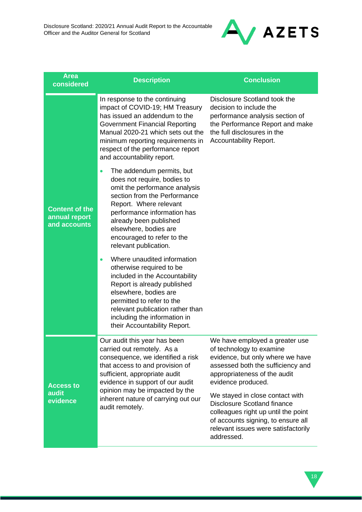

| <b>Area</b><br>considered                              | <b>Description</b>                                                                                                                                                                                                                                                                                        | <b>Conclusion</b>                                                                                                                                                                                                                                                                                                                                                                                    |
|--------------------------------------------------------|-----------------------------------------------------------------------------------------------------------------------------------------------------------------------------------------------------------------------------------------------------------------------------------------------------------|------------------------------------------------------------------------------------------------------------------------------------------------------------------------------------------------------------------------------------------------------------------------------------------------------------------------------------------------------------------------------------------------------|
|                                                        | In response to the continuing<br>impact of COVID-19; HM Treasury<br>has issued an addendum to the<br><b>Government Financial Reporting</b><br>Manual 2020-21 which sets out the<br>minimum reporting requirements in<br>respect of the performance report<br>and accountability report.                   | Disclosure Scotland took the<br>decision to include the<br>performance analysis section of<br>the Performance Report and make<br>the full disclosures in the<br>Accountability Report.                                                                                                                                                                                                               |
| <b>Content of the</b><br>annual report<br>and accounts | The addendum permits, but<br>$\bullet$<br>does not require, bodies to<br>omit the performance analysis<br>section from the Performance<br>Report. Where relevant<br>performance information has<br>already been published<br>elsewhere, bodies are<br>encouraged to refer to the<br>relevant publication. |                                                                                                                                                                                                                                                                                                                                                                                                      |
|                                                        | Where unaudited information<br>$\bullet$<br>otherwise required to be<br>included in the Accountability<br>Report is already published<br>elsewhere, bodies are<br>permitted to refer to the<br>relevant publication rather than<br>including the information in<br>their Accountability Report.           |                                                                                                                                                                                                                                                                                                                                                                                                      |
| <b>Access to</b><br>audit<br>evidence                  | Our audit this year has been<br>carried out remotely. As a<br>consequence, we identified a risk<br>that access to and provision of<br>sufficient, appropriate audit<br>evidence in support of our audit<br>opinion may be impacted by the<br>inherent nature of carrying out our<br>audit remotely.       | We have employed a greater use<br>of technology to examine<br>evidence, but only where we have<br>assessed both the sufficiency and<br>appropriateness of the audit<br>evidence produced.<br>We stayed in close contact with<br><b>Disclosure Scotland finance</b><br>colleagues right up until the point<br>of accounts signing, to ensure all<br>relevant issues were satisfactorily<br>addressed. |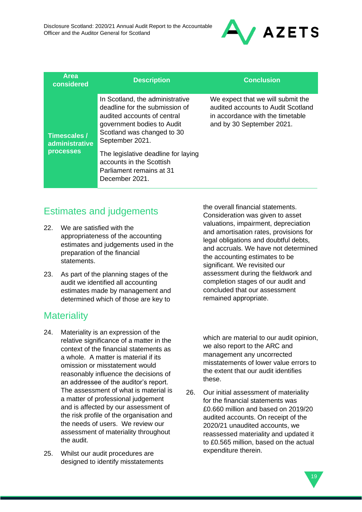

| In Scotland, the administrative<br>We expect that we will submit the<br>deadline for the submission of<br>audited accounts to Audit Scotland<br>audited accounts of central<br>in accordance with the timetable<br>and by 30 September 2021.<br>government bodies to Audit<br>Scotland was changed to 30<br>Timescales /<br>September 2021.<br>administrative<br><b>processes</b><br>The legislative deadline for laying | <b>Area</b><br>considered | <b>Description</b> | <b>Conclusion</b> |
|--------------------------------------------------------------------------------------------------------------------------------------------------------------------------------------------------------------------------------------------------------------------------------------------------------------------------------------------------------------------------------------------------------------------------|---------------------------|--------------------|-------------------|
| accounts in the Scottish<br>Parliament remains at 31<br>December 2021.                                                                                                                                                                                                                                                                                                                                                   |                           |                    |                   |

## Estimates and judgements

- 22. We are satisfied with the appropriateness of the accounting estimates and judgements used in the preparation of the financial statements.
- 23. As part of the planning stages of the audit we identified all accounting estimates made by management and determined which of those are key to

# **Materiality**

- 24. Materiality is an expression of the relative significance of a matter in the context of the financial statements as a whole. A matter is material if its omission or misstatement would reasonably influence the decisions of an addressee of the auditor's report. The assessment of what is material is a matter of professional judgement and is affected by our assessment of the risk profile of the organisation and the needs of users. We review our assessment of materiality throughout the audit.
- 25. Whilst our audit procedures are designed to identify misstatements

the overall financial statements. Consideration was given to asset valuations, impairment, depreciation and amortisation rates, provisions for legal obligations and doubtful debts, and accruals. We have not determined the accounting estimates to be significant. We revisited our assessment during the fieldwork and completion stages of our audit and concluded that our assessment remained appropriate.

which are material to our audit opinion, we also report to the ARC and management any uncorrected misstatements of lower value errors to the extent that our audit identifies these.

26. Our initial assessment of materiality for the financial statements was £0.660 million and based on 2019/20 audited accounts. On receipt of the 2020/21 unaudited accounts, we reassessed materiality and updated it to £0.565 million, based on the actual expenditure therein.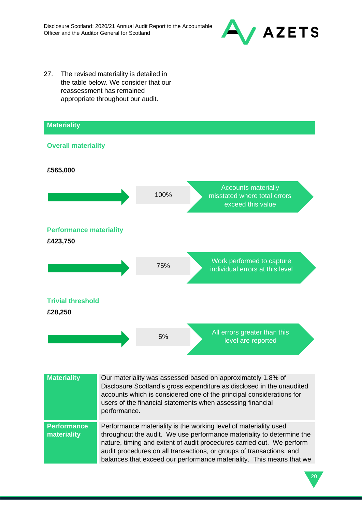

27. The revised materiality is detailed in the table below. We consider that our reassessment has remained appropriate throughout our audit.



| <b>Materiality</b>                | Our materiality was assessed based on approximately 1.8% of<br>Disclosure Scotland's gross expenditure as disclosed in the unaudited<br>accounts which is considered one of the principal considerations for<br>users of the financial statements when assessing financial<br>performance.                                                                         |
|-----------------------------------|--------------------------------------------------------------------------------------------------------------------------------------------------------------------------------------------------------------------------------------------------------------------------------------------------------------------------------------------------------------------|
| <b>Performance</b><br>materiality | Performance materiality is the working level of materiality used<br>throughout the audit. We use performance materiality to determine the<br>nature, timing and extent of audit procedures carried out. We perform<br>audit procedures on all transactions, or groups of transactions, and<br>balances that exceed our performance materiality. This means that we |

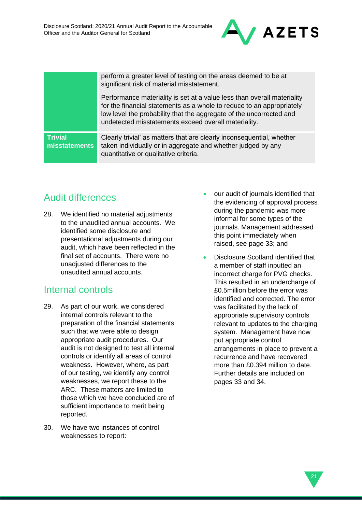

perform a greater level of testing on the areas deemed to be at significant risk of material misstatement.

Performance materiality is set at a value less than overall materiality for the financial statements as a whole to reduce to an appropriately low level the probability that the aggregate of the uncorrected and undetected misstatements exceed overall materiality.

**Trivial misstatements** Clearly trivial' as matters that are clearly inconsequential, whether taken individually or in aggregate and whether judged by any quantitative or qualitative criteria.

# Audit differences

28. We identified no material adjustments to the unaudited annual accounts. We identified some disclosure and presentational adjustments during our audit, which have been reflected in the final set of accounts. There were no unadjusted differences to the unaudited annual accounts.

### Internal controls

- 29. As part of our work, we considered internal controls relevant to the preparation of the financial statements such that we were able to design appropriate audit procedures. Our audit is not designed to test all internal controls or identify all areas of control weakness. However, where, as part of our testing, we identify any control weaknesses, we report these to the ARC. These matters are limited to those which we have concluded are of sufficient importance to merit being reported.
- 30. We have two instances of control weaknesses to report:
- our audit of journals identified that the evidencing of approval process during the pandemic was more informal for some types of the journals. Management addressed this point immediately when raised, see page 33; and
- Disclosure Scotland identified that a member of staff inputted an incorrect charge for PVG checks. This resulted in an undercharge of £0.5million before the error was identified and corrected. The error was facilitated by the lack of appropriate supervisory controls relevant to updates to the charging system. Management have now put appropriate control arrangements in place to prevent a recurrence and have recovered more than £0.394 million to date. Further details are included on pages 33 and 34.

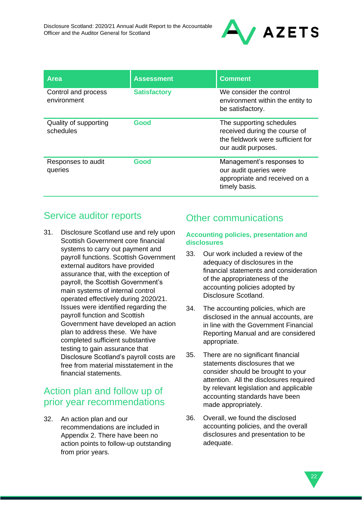

| <b>Area</b>                        | <b>Assessment</b>   | <b>Comment</b>                                                                                                        |
|------------------------------------|---------------------|-----------------------------------------------------------------------------------------------------------------------|
| Control and process<br>environment | <b>Satisfactory</b> | We consider the control<br>environment within the entity to<br>be satisfactory.                                       |
| Quality of supporting<br>schedules | Good                | The supporting schedules<br>received during the course of<br>the fieldwork were sufficient for<br>our audit purposes. |
| Responses to audit<br>queries      | Good                | Management's responses to<br>our audit queries were<br>appropriate and received on a<br>timely basis.                 |

# Service auditor reports

31. Disclosure Scotland use and rely upon Scottish Government core financial systems to carry out payment and payroll functions. Scottish Government external auditors have provided assurance that, with the exception of payroll, the Scottish Government's main systems of internal control operated effectively during 2020/21. Issues were identified regarding the payroll function and Scottish Government have developed an action plan to address these. We have completed sufficient substantive testing to gain assurance that Disclosure Scotland's payroll costs are free from material misstatement in the financial statements.

## Action plan and follow up of prior year recommendations

32. An action plan and our recommendations are included in Appendix 2. There have been no action points to follow-up outstanding from prior years.

# Other communications

### **Accounting policies, presentation and disclosures**

- 33. Our work included a review of the adequacy of disclosures in the financial statements and consideration of the appropriateness of the accounting policies adopted by Disclosure Scotland.
- 34. The accounting policies, which are disclosed in the annual accounts, are in line with the Government Financial Reporting Manual and are considered appropriate.
- 35. There are no significant financial statements disclosures that we consider should be brought to your attention. All the disclosures required by relevant legislation and applicable accounting standards have been made appropriately.
- 36. Overall, we found the disclosed accounting policies, and the overall disclosures and presentation to be adequate.

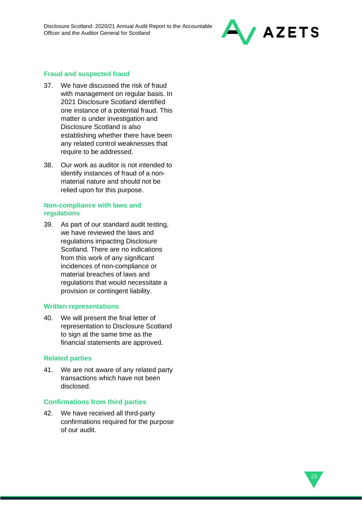

### **Fraud and suspected fraud**

- 37. We have discussed the risk of fraud with management on regular basis. In 2021 Disclosure Scotland identified one instance of a potential fraud. This matter is under investigation and Disclosure Scotland is also establishing whether there have been any related control weaknesses that require to be addressed.
- 38. Our work as auditor is not intended to identify instances of fraud of a nonmaterial nature and should not be relied upon for this purpose.

### **Non-compliance with laws and regulations**

39. As part of our standard audit testing, we have reviewed the laws and regulations impacting Disclosure Scotland. There are no indications from this work of any significant incidences of non-compliance or material breaches of laws and regulations that would necessitate a provision or contingent liability.

### **Written representations**

40. We will present the final letter of representation to Disclosure Scotland to sign at the same time as the financial statements are approved.

#### **Related parties**

41. We are not aware of any related party transactions which have not been disclosed.

### **Confirmations from third parties**

42. We have received all third-party confirmations required for the purpose of our audit.

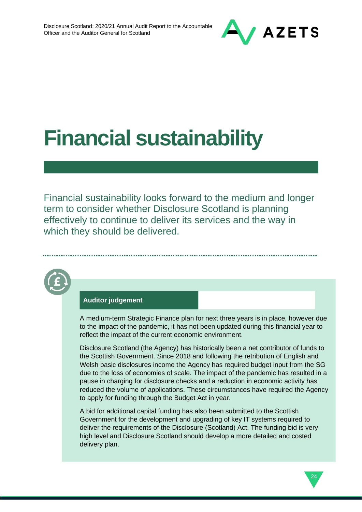

# **Financial sustainability**

Financial sustainability looks forward to the medium and longer term to consider whether Disclosure Scotland is planning effectively to continue to deliver its services and the way in which they should be delivered.

### **Auditor judgement**

A medium-term Strategic Finance plan for next three years is in place, however due to the impact of the pandemic, it has not been updated during this financial year to reflect the impact of the current economic environment.

Disclosure Scotland (the Agency) has historically been a net contributor of funds to the Scottish Government. Since 2018 and following the retribution of English and Welsh basic disclosures income the Agency has required budget input from the SG due to the loss of economies of scale. The impact of the pandemic has resulted in a pause in charging for disclosure checks and a reduction in economic activity has reduced the volume of applications. These circumstances have required the Agency to apply for funding through the Budget Act in year.

A bid for additional capital funding has also been submitted to the Scottish Government for the development and upgrading of key IT systems required to deliver the requirements of the Disclosure (Scotland) Act. The funding bid is very high level and Disclosure Scotland should develop a more detailed and costed delivery plan.

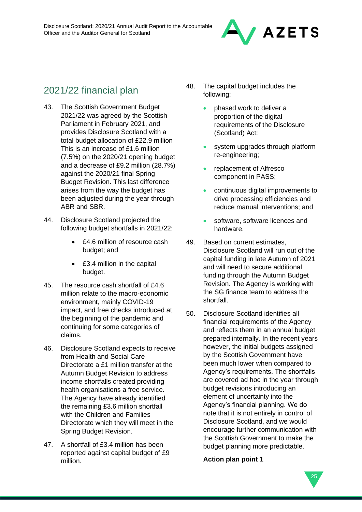

# 2021/22 financial plan

- 43. The Scottish Government Budget 2021/22 was agreed by the Scottish Parliament in February 2021, and provides Disclosure Scotland with a total budget allocation of £22.9 million This is an increase of £1.6 million (7.5%) on the 2020/21 opening budget and a decrease of £9.2 million (28.7%) against the 2020/21 final Spring Budget Revision. This last difference arises from the way the budget has been adjusted during the year through ABR and SBR.
- 44. Disclosure Scotland projected the following budget shortfalls in 2021/22:
	- £4.6 million of resource cash budget; and
	- £3.4 million in the capital budget.
- 45. The resource cash shortfall of £4.6 million relate to the macro-economic environment, mainly COVID-19 impact, and free checks introduced at the beginning of the pandemic and continuing for some categories of claims.
- 46. Disclosure Scotland expects to receive from Health and Social Care Directorate a £1 million transfer at the Autumn Budget Revision to address income shortfalls created providing health organisations a free service. The Agency have already identified the remaining £3.6 million shortfall with the Children and Families Directorate which they will meet in the Spring Budget Revision.
- 47. A shortfall of £3.4 million has been reported against capital budget of £9 million.
- 48. The capital budget includes the following:
	- phased work to deliver a proportion of the digital requirements of the Disclosure (Scotland) Act;
	- system upgrades through platform re-engineering;
	- replacement of Alfresco component in PASS;
	- continuous digital improvements to drive processing efficiencies and reduce manual interventions; and
	- software, software licences and hardware.
- 49. Based on current estimates, Disclosure Scotland will run out of the capital funding in late Autumn of 2021 and will need to secure additional funding through the Autumn Budget Revision. The Agency is working with the SG finance team to address the shortfall.
- 50. Disclosure Scotland identifies all financial requirements of the Agency and reflects them in an annual budget prepared internally. In the recent years however, the initial budgets assigned by the Scottish Government have been much lower when compared to Agency's requirements. The shortfalls are covered ad hoc in the year through budget revisions introducing an element of uncertainty into the Agency's financial planning. We do note that it is not entirely in control of Disclosure Scotland, and we would encourage further communication with the Scottish Government to make the budget planning more predictable.

### **Action plan point 1**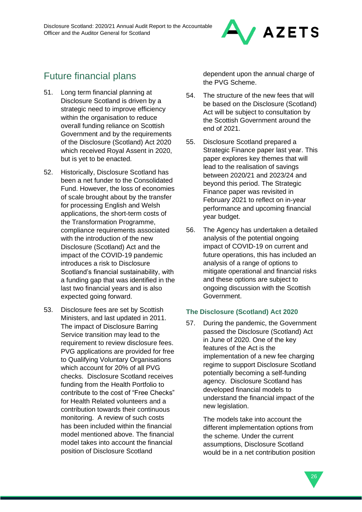

# Future financial plans

- 51. Long term financial planning at Disclosure Scotland is driven by a strategic need to improve efficiency within the organisation to reduce overall funding reliance on Scottish Government and by the requirements of the Disclosure (Scotland) Act 2020 which received Royal Assent in 2020, but is yet to be enacted.
- 52. Historically, Disclosure Scotland has been a net funder to the Consolidated Fund. However, the loss of economies of scale brought about by the transfer for processing English and Welsh applications, the short-term costs of the Transformation Programme, compliance requirements associated with the introduction of the new Disclosure (Scotland) Act and the impact of the COVID-19 pandemic introduces a risk to Disclosure Scotland's financial sustainability, with a funding gap that was identified in the last two financial years and is also expected going forward.
- 53. Disclosure fees are set by Scottish Ministers, and last updated in 2011. The impact of Disclosure Barring Service transition may lead to the requirement to review disclosure fees. PVG applications are provided for free to Qualifying Voluntary Organisations which account for 20% of all PVG checks. Disclosure Scotland receives funding from the Health Portfolio to contribute to the cost of "Free Checks" for Health Related volunteers and a contribution towards their continuous monitoring. A review of such costs has been included within the financial model mentioned above. The financial model takes into account the financial position of Disclosure Scotland

dependent upon the annual charge of the PVG Scheme.

- 54. The structure of the new fees that will be based on the Disclosure (Scotland) Act will be subject to consultation by the Scottish Government around the end of 2021.
- 55. Disclosure Scotland prepared a Strategic Finance paper last year. This paper explores key themes that will lead to the realisation of savings between 2020/21 and 2023/24 and beyond this period. The Strategic Finance paper was revisited in February 2021 to reflect on in-year performance and upcoming financial year budget.
- 56. The Agency has undertaken a detailed analysis of the potential ongoing impact of COVID-19 on current and future operations, this has included an analysis of a range of options to mitigate operational and financial risks and these options are subject to ongoing discussion with the Scottish Government.

### **The Disclosure (Scotland) Act 2020**

57. During the pandemic, the Government passed the Disclosure (Scotland) Act in June of 2020. One of the key features of the Act is the implementation of a new fee charging regime to support Disclosure Scotland potentially becoming a self-funding agency. Disclosure Scotland has developed financial models to understand the financial impact of the new legislation.

> The models take into account the different implementation options from the scheme. Under the current assumptions, Disclosure Scotland would be in a net contribution position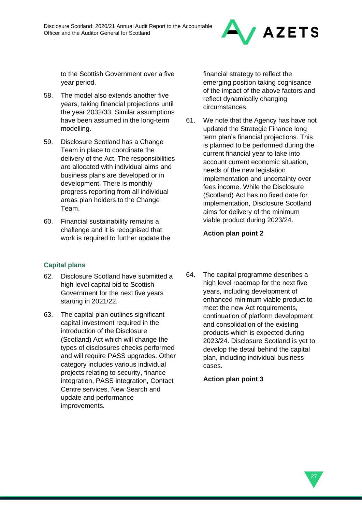

to the Scottish Government over a five year period.

- 58. The model also extends another five years, taking financial projections until the year 2032/33. Similar assumptions have been assumed in the long-term modelling.
- 59. Disclosure Scotland has a Change Team in place to coordinate the delivery of the Act. The responsibilities are allocated with individual aims and business plans are developed or in development. There is monthly progress reporting from all individual areas plan holders to the Change Team.
- 60. Financial sustainability remains a challenge and it is recognised that work is required to further update the

### **Capital plans**

- 62. Disclosure Scotland have submitted a high level capital bid to Scottish Government for the next five years starting in 2021/22.
- 63. The capital plan outlines significant capital investment required in the introduction of the Disclosure (Scotland) Act which will change the types of disclosures checks performed and will require PASS upgrades. Other category includes various individual projects relating to security, finance integration, PASS integration, Contact Centre services, New Search and update and performance improvements.

financial strategy to reflect the emerging position taking cognisance of the impact of the above factors and reflect dynamically changing circumstances.

61. We note that the Agency has have not updated the Strategic Finance long term plan's financial projections. This is planned to be performed during the current financial year to take into account current economic situation, needs of the new legislation implementation and uncertainty over fees income. While the Disclosure (Scotland) Act has no fixed date for implementation, Disclosure Scotland aims for delivery of the minimum viable product during 2023/24.

### **Action plan point 2**

64. The capital programme describes a high level roadmap for the next five years, including development of enhanced minimum viable product to meet the new Act requirements, continuation of platform development and consolidation of the existing products which is expected during 2023/24. Disclosure Scotland is yet to develop the detail behind the capital plan, including individual business cases.

**Action plan point 3**

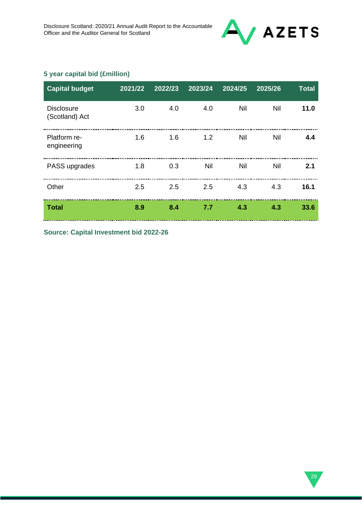

### **5 year capital bid (£million)**

| <b>Capital budget</b>               | 2021/22 | 2022/23 | 2023/24 | 2024/25    | 2025/26 | <b>Total</b> |
|-------------------------------------|---------|---------|---------|------------|---------|--------------|
| <b>Disclosure</b><br>(Scotland) Act | 3.0     | 4.0     | 4.0     | Nil        | Nil     | 11.0         |
| Platform re-<br>engineering         | 1.6     | 1.6     | 1.2     | <b>Nil</b> | Nil     | 4.4          |
| PASS upgrades                       | 1.8     | 0.3     | Nil     | <b>Nil</b> | Nil     | 2.1          |
| Other                               | 2.5     | 2.5     | 2.5     | 4.3        | 4.3     | 16.1         |
| <b>Total</b>                        | 8.9     | 8.4     | 7.7     | 4.3        | 4.3     | 33.6         |

**Source: Capital Investment bid 2022-26**

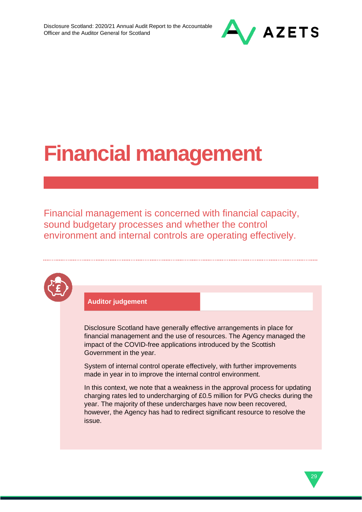

# **Financial management**

Financial management is concerned with financial capacity, sound budgetary processes and whether the control environment and internal controls are operating effectively.



### **Auditor judgement**

Disclosure Scotland have generally effective arrangements in place for financial management and the use of resources. The Agency managed the impact of the COVID-free applications introduced by the Scottish Government in the year.

System of internal control operate effectively, with further improvements made in year in to improve the internal control environment.

In this context, we note that a weakness in the approval process for updating charging rates led to undercharging of £0.5 million for PVG checks during the year. The majority of these undercharges have now been recovered, however, the Agency has had to redirect significant resource to resolve the issue.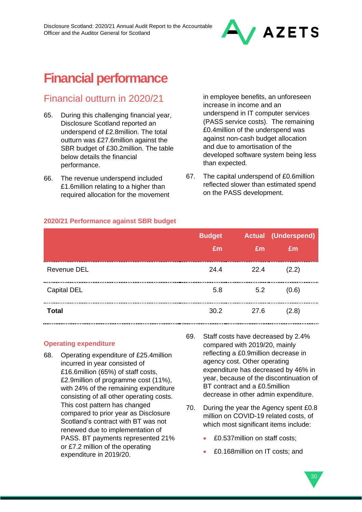

# **Financial performance**

### Financial outturn in 2020/21

- 65. During this challenging financial year, Disclosure Scotland reported an underspend of £2.8million. The total outturn was £27.6million against the SBR budget of £30.2million. The table below details the financial performance.
- 66. The revenue underspend included £1.6million relating to a higher than required allocation for the movement

in employee benefits, an unforeseen increase in income and an underspend in IT computer services (PASS service costs). The remaining £0.4million of the underspend was against non-cash budget allocation and due to amortisation of the developed software system being less than expected.

67. The capital underspend of £0.6million reflected slower than estimated spend on the PASS development.

### **2020/21 Performance against SBR budget**

|              | <b>Budget</b> |      | <b>Actual (Underspend)</b> |
|--------------|---------------|------|----------------------------|
|              | £m            | £m   | £m                         |
| Revenue DEL  | 24.4          | 22.4 | (2.2)                      |
| Capital DEL  | 5.8           | 5.2  | (0.6)                      |
| <b>Total</b> | 30.2          | 27.6 | (2.8)                      |

### **Operating expenditure**

- 68. Operating expenditure of £25.4million incurred in year consisted of £16.6million (65%) of staff costs, £2.9million of programme cost (11%), with 24% of the remaining expenditure consisting of all other operating costs. This cost pattern has changed compared to prior year as Disclosure Scotland's contract with BT was not renewed due to implementation of PASS. BT payments represented 21% or £7.2 million of the operating expenditure in 2019/20.
- 69. Staff costs have decreased by 2.4% compared with 2019/20, mainly reflecting a £0.9million decrease in agency cost. Other operating expenditure has decreased by 46% in year, because of the discontinuation of BT contract and a £0.5million decrease in other admin expenditure.
- 70. During the year the Agency spent £0.8 million on COVID-19 related costs, of which most significant items include:
	- £0.537million on staff costs;
	- £0.168million on IT costs; and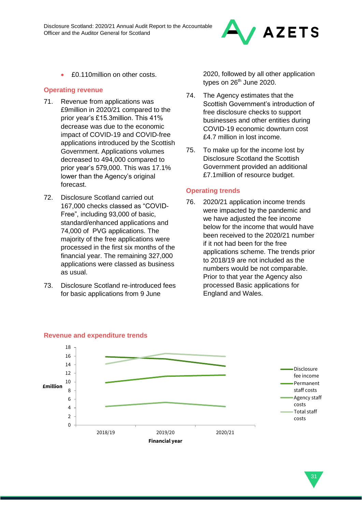

• £0.110million on other costs.

### **Operating revenue**

- 71. Revenue from applications was £9million in 2020/21 compared to the prior year's £15.3million. This 41% decrease was due to the economic impact of COVID-19 and COVID-free applications introduced by the Scottish Government. Applications volumes decreased to 494,000 compared to prior year's 579,000. This was 17.1% lower than the Agency's original forecast.
- 72. Disclosure Scotland carried out 167,000 checks classed as "COVID-Free", including 93,000 of basic, standard/enhanced applications and 74,000 of PVG applications. The majority of the free applications were processed in the first six months of the financial year. The remaining 327,000 applications were classed as business as usual.
- 73. Disclosure Scotland re-introduced fees for basic applications from 9 June

2020, followed by all other application types on  $26<sup>th</sup>$  June 2020.

- 74. The Agency estimates that the Scottish Government's introduction of free disclosure checks to support businesses and other entities during COVID-19 economic downturn cost £4.7 million in lost income.
- 75. To make up for the income lost by Disclosure Scotland the Scottish Government provided an additional £7.1million of resource budget.

### **Operating trends**

76. 2020/21 application income trends were impacted by the pandemic and we have adjusted the fee income below for the income that would have been received to the 2020/21 number if it not had been for the free applications scheme. The trends prior to 2018/19 are not included as the numbers would be not comparable. Prior to that year the Agency also processed Basic applications for England and Wales.



### **Revenue and expenditure trends**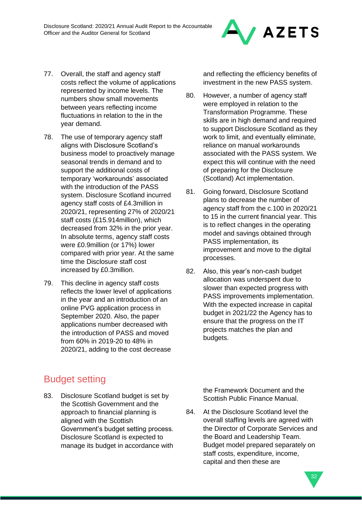

- 78. The use of temporary agency staff aligns with Disclosure Scotland's business model to proactively manage seasonal trends in demand and to support the additional costs of temporary 'workarounds' associated with the introduction of the PASS system. Disclosure Scotland incurred agency staff costs of £4.3million in 2020/21, representing 27% of 2020/21 staff costs (£15.914million), which decreased from 32% in the prior year. In absolute terms, agency staff costs were £0.9million (or 17%) lower compared with prior year. At the same time the Disclosure staff cost increased by £0.3million.
- 79. This decline in agency staff costs reflects the lower level of applications in the year and an introduction of an online PVG application process in September 2020. Also, the paper applications number decreased with the introduction of PASS and moved from 60% in 2019-20 to 48% in 2020/21, adding to the cost decrease

Budget setting

83. Disclosure Scotland budget is set by the Scottish Government and the approach to financial planning is aligned with the Scottish Government's budget setting process. Disclosure Scotland is expected to manage its budget in accordance with and reflecting the efficiency benefits of investment in the new PASS system.

- 80. However, a number of agency staff were employed in relation to the Transformation Programme. These skills are in high demand and required to support Disclosure Scotland as they work to limit, and eventually eliminate, reliance on manual workarounds associated with the PASS system. We expect this will continue with the need of preparing for the Disclosure (Scotland) Act implementation.
- 81. Going forward, Disclosure Scotland plans to decrease the number of agency staff from the c.100 in 2020/21 to 15 in the current financial year. This is to reflect changes in the operating model and savings obtained through PASS implementation, its improvement and move to the digital processes.
- 82. Also, this year's non-cash budget allocation was underspent due to slower than expected progress with PASS improvements implementation. With the expected increase in capital budget in 2021/22 the Agency has to ensure that the progress on the IT projects matches the plan and budgets.

the Framework Document and the Scottish Public Finance Manual.

84. At the Disclosure Scotland level the overall staffing levels are agreed with the Director of Corporate Services and the Board and Leadership Team. Budget model prepared separately on staff costs, expenditure, income, capital and then these are



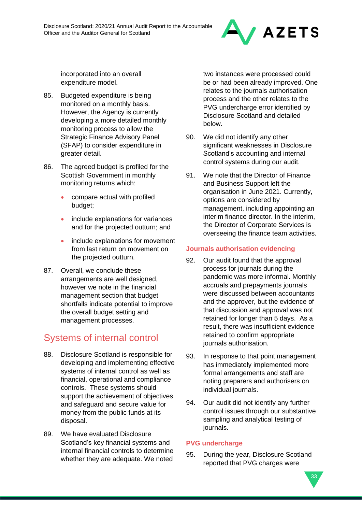

incorporated into an overall expenditure model.

- 85. Budgeted expenditure is being monitored on a monthly basis. However, the Agency is currently developing a more detailed monthly monitoring process to allow the Strategic Finance Advisory Panel (SFAP) to consider expenditure in greater detail.
- 86. The agreed budget is profiled for the Scottish Government in monthly monitoring returns which:
	- compare actual with profiled budget;
	- include explanations for variances and for the projected outturn; and
	- include explanations for movement from last return on movement on the projected outturn.
- 87. Overall, we conclude these arrangements are well designed, however we note in the financial management section that budget shortfalls indicate potential to improve the overall budget setting and management processes.

# Systems of internal control

- 88. Disclosure Scotland is responsible for developing and implementing effective systems of internal control as well as financial, operational and compliance controls. These systems should support the achievement of objectives and safeguard and secure value for money from the public funds at its disposal.
- 89. We have evaluated Disclosure Scotland's key financial systems and internal financial controls to determine whether they are adequate. We noted

two instances were processed could be or had been already improved. One relates to the journals authorisation process and the other relates to the PVG undercharge error identified by Disclosure Scotland and detailed below.

- 90. We did not identify any other significant weaknesses in Disclosure Scotland's accounting and internal control systems during our audit.
- 91. We note that the Director of Finance and Business Support left the organisation in June 2021. Currently, options are considered by management, including appointing an interim finance director. In the interim, the Director of Corporate Services is overseeing the finance team activities.

### **Journals authorisation evidencing**

- 92. Our audit found that the approval process for journals during the pandemic was more informal. Monthly accruals and prepayments journals were discussed between accountants and the approver, but the evidence of that discussion and approval was not retained for longer than 5 days. As a result, there was insufficient evidence retained to confirm appropriate journals authorisation.
- 93. In response to that point management has immediately implemented more formal arrangements and staff are noting preparers and authorisers on individual journals.
- 94. Our audit did not identify any further control issues through our substantive sampling and analytical testing of journals.

### **PVG undercharge**

95. During the year, Disclosure Scotland reported that PVG charges were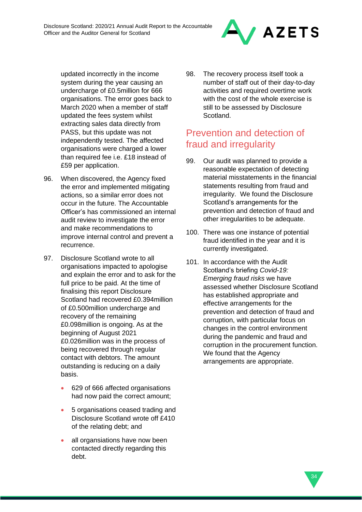

updated incorrectly in the income system during the year causing an undercharge of £0.5million for 666 organisations. The error goes back to March 2020 when a member of staff updated the fees system whilst extracting sales data directly from PASS, but this update was not independently tested. The affected organisations were charged a lower than required fee i.e. £18 instead of £59 per application.

- 96. When discovered, the Agency fixed the error and implemented mitigating actions, so a similar error does not occur in the future. The Accountable Officer's has commissioned an internal audit review to investigate the error and make recommendations to improve internal control and prevent a recurrence.
- 97. Disclosure Scotland wrote to all organisations impacted to apologise and explain the error and to ask for the full price to be paid. At the time of finalising this report Disclosure Scotland had recovered £0.394million of £0.500million undercharge and recovery of the remaining £0.098million is ongoing. As at the beginning of August 2021 £0.026million was in the process of being recovered through regular contact with debtors. The amount outstanding is reducing on a daily basis.
	- 629 of 666 affected organisations had now paid the correct amount;
	- 5 organisations ceased trading and Disclosure Scotland wrote off £410 of the relating debt; and
	- all organsiations have now been contacted directly regarding this debt.

98. The recovery process itself took a number of staff out of their day-to-day activities and required overtime work with the cost of the whole exercise is still to be assessed by Disclosure Scotland.

# Prevention and detection of fraud and irregularity

- 99. Our audit was planned to provide a reasonable expectation of detecting material misstatements in the financial statements resulting from fraud and irregularity. We found the Disclosure Scotland's arrangements for the prevention and detection of fraud and other irregularities to be adequate.
- 100. There was one instance of potential fraud identified in the year and it is currently investigated.
- 101. In accordance with the Audit Scotland's briefing *Covid-19: Emerging fraud risks* we have assessed whether Disclosure Scotland has established appropriate and effective arrangements for the prevention and detection of fraud and corruption, with particular focus on changes in the control environment during the pandemic and fraud and corruption in the procurement function. We found that the Agency arrangements are appropriate.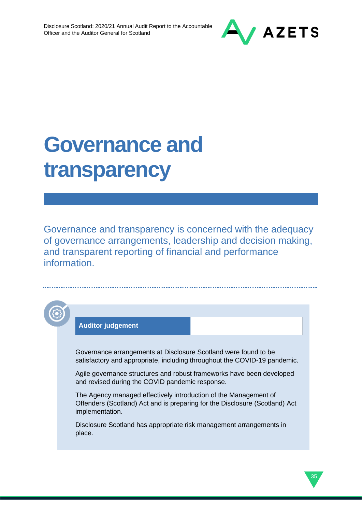

35

# **Governance and transparency**

Governance and transparency is concerned with the adequacy of governance arrangements, leadership and decision making, and transparent reporting of financial and performance information.

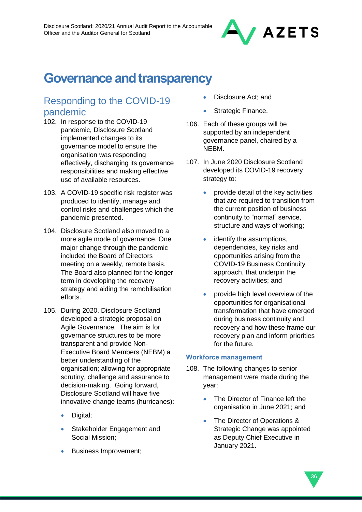

# **Governance and transparency**

## Responding to the COVID-19 pandemic

- 102. In response to the COVID-19 pandemic, Disclosure Scotland implemented changes to its governance model to ensure the organisation was responding effectively, discharging its governance responsibilities and making effective use of available resources.
- 103. A COVID-19 specific risk register was produced to identify, manage and control risks and challenges which the pandemic presented.
- 104. Disclosure Scotland also moved to a more agile mode of governance. One major change through the pandemic included the Board of Directors meeting on a weekly, remote basis. The Board also planned for the longer term in developing the recovery strategy and aiding the remobilisation efforts.
- 105. During 2020, Disclosure Scotland developed a strategic proposal on Agile Governance. The aim is for governance structures to be more transparent and provide Non-Executive Board Members (NEBM) a better understanding of the organisation; allowing for appropriate scrutiny, challenge and assurance to decision-making. Going forward, Disclosure Scotland will have five innovative change teams (hurricanes):
	- Digital;
	- Stakeholder Engagement and Social Mission;
	- Business Improvement;
- Disclosure Act; and
- Strategic Finance.
- 106. Each of these groups will be supported by an independent governance panel, chaired by a NEBM.
- 107. In June 2020 Disclosure Scotland developed its COVID-19 recovery strategy to:
	- provide detail of the key activities that are required to transition from the current position of business continuity to "normal" service, structure and ways of working;
	- identify the assumptions, dependencies, key risks and opportunities arising from the COVID-19 Business Continuity approach, that underpin the recovery activities; and
	- provide high level overview of the opportunities for organisational transformation that have emerged during business continuity and recovery and how these frame our recovery plan and inform priorities for the future.

### **Workforce management**

- 108. The following changes to senior management were made during the year:
	- The Director of Finance left the organisation in June 2021; and
	- The Director of Operations & Strategic Change was appointed as Deputy Chief Executive in January 2021.

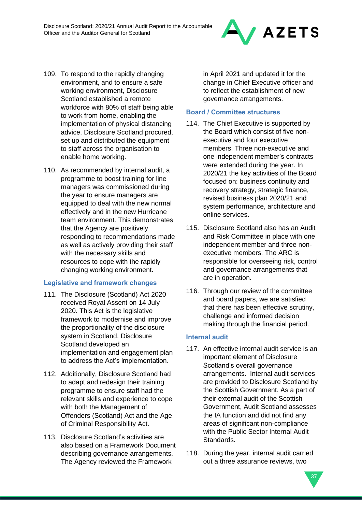

- 109. To respond to the rapidly changing environment, and to ensure a safe working environment, Disclosure Scotland established a remote workforce with 80% of staff being able to work from home, enabling the implementation of physical distancing advice. Disclosure Scotland procured, set up and distributed the equipment to staff across the organisation to enable home working.
- 110. As recommended by internal audit, a programme to boost training for line managers was commissioned during the year to ensure managers are equipped to deal with the new normal effectively and in the new Hurricane team environment. This demonstrates that the Agency are positively responding to recommendations made as well as actively providing their staff with the necessary skills and resources to cope with the rapidly changing working environment.

### **Legislative and framework changes**

- 111. The Disclosure (Scotland) Act 2020 received Royal Assent on 14 July 2020. This Act is the legislative framework to modernise and improve the proportionality of the disclosure system in Scotland. Disclosure Scotland developed an implementation and engagement plan to address the Act's implementation.
- 112. Additionally, Disclosure Scotland had to adapt and redesign their training programme to ensure staff had the relevant skills and experience to cope with both the Management of Offenders (Scotland) Act and the Age of Criminal Responsibility Act.
- 113. Disclosure Scotland's activities are also based on a Framework Document describing governance arrangements. The Agency reviewed the Framework

in April 2021 and updated it for the change in Chief Executive officer and to reflect the establishment of new governance arrangements.

### **Board / Committee structures**

- 114. The Chief Executive is supported by the Board which consist of five nonexecutive and four executive members. Three non-executive and one independent member's contracts were extended during the year. In 2020/21 the key activities of the Board focused on: business continuity and recovery strategy, strategic finance, revised business plan 2020/21 and system performance, architecture and online services.
- 115. Disclosure Scotland also has an Audit and Risk Committee in place with one independent member and three nonexecutive members. The ARC is responsible for overseeing risk, control and governance arrangements that are in operation.
- 116. Through our review of the committee and board papers, we are satisfied that there has been effective scrutiny, challenge and informed decision making through the financial period.

### **Internal audit**

- 117. An effective internal audit service is an important element of Disclosure Scotland's overall governance arrangements. Internal audit services are provided to Disclosure Scotland by the Scottish Government. As a part of their external audit of the Scottish Government, Audit Scotland assesses the IA function and did not find any areas of significant non-compliance with the Public Sector Internal Audit Standards.
- 118. During the year, internal audit carried out a three assurance reviews, two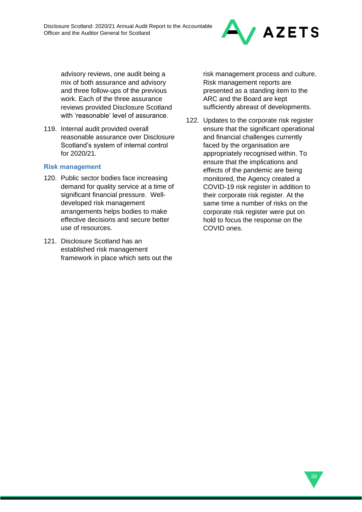

advisory reviews, one audit being a mix of both assurance and advisory and three follow-ups of the previous work. Each of the three assurance reviews provided Disclosure Scotland with 'reasonable' level of assurance.

119. Internal audit provided overall reasonable assurance over Disclosure Scotland's system of internal control for 2020/21.

### **Risk management**

- 120. Public sector bodies face increasing demand for quality service at a time of significant financial pressure. Welldeveloped risk management arrangements helps bodies to make effective decisions and secure better use of resources.
- 121. Disclosure Scotland has an established risk management framework in place which sets out the

risk management process and culture. Risk management reports are presented as a standing item to the ARC and the Board are kept sufficiently abreast of developments.

122. Updates to the corporate risk register ensure that the significant operational and financial challenges currently faced by the organisation are appropriately recognised within. To ensure that the implications and effects of the pandemic are being monitored, the Agency created a COVID-19 risk register in addition to their corporate risk register. At the same time a number of risks on the corporate risk register were put on hold to focus the response on the COVID ones.

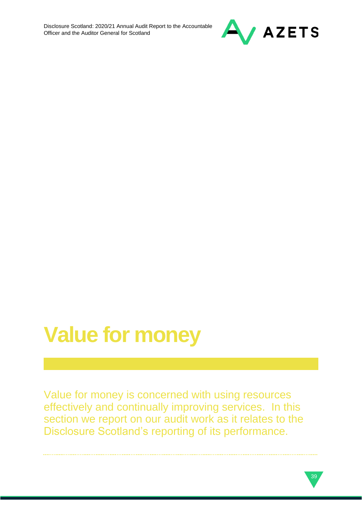

# **Value for money**

Value for money is concerned with using resources effectively and continually improving services. In this section we report on our audit work as it relates to the Disclosure Scotland's reporting of its performance.

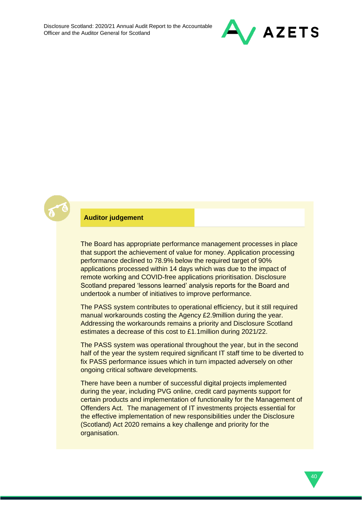



### **Auditor judgement**

The Board has appropriate performance management processes in place that support the achievement of value for money. Application processing performance declined to 78.9% below the required target of 90% applications processed within 14 days which was due to the impact of remote working and COVID-free applications prioritisation. Disclosure Scotland prepared 'lessons learned' analysis reports for the Board and undertook a number of initiatives to improve performance.

The PASS system contributes to operational efficiency, but it still required manual workarounds costing the Agency £2.9million during the year. Addressing the workarounds remains a priority and Disclosure Scotland estimates a decrease of this cost to £1.1million during 2021/22.

The PASS system was operational throughout the year, but in the second half of the year the system required significant IT staff time to be diverted to fix PASS performance issues which in turn impacted adversely on other ongoing critical software developments.

There have been a number of successful digital projects implemented during the year, including PVG online, credit card payments support for certain products and implementation of functionality for the Management of Offenders Act. The management of IT investments projects essential for the effective implementation of new responsibilities under the Disclosure (Scotland) Act 2020 remains a key challenge and priority for the organisation.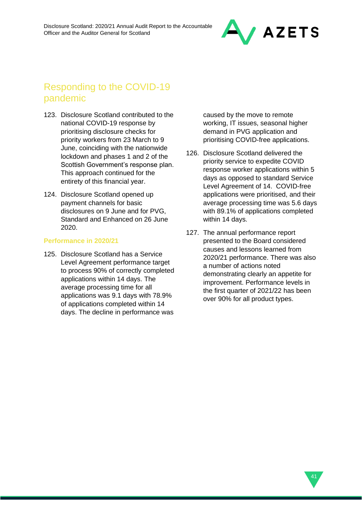

# Responding to the COVID-19 pandemic

- 123. Disclosure Scotland contributed to the national COVID-19 response by prioritising disclosure checks for priority workers from 23 March to 9 June, coinciding with the nationwide lockdown and phases 1 and 2 of the Scottish Government's response plan. This approach continued for the entirety of this financial year.
- 124. Disclosure Scotland opened up payment channels for basic disclosures on 9 June and for PVG, Standard and Enhanced on 26 June 2020.

#### **Performance in 2020/21**

125. Disclosure Scotland has a Service Level Agreement performance target to process 90% of correctly completed applications within 14 days. The average processing time for all applications was 9.1 days with 78.9% of applications completed within 14 days. The decline in performance was

caused by the move to remote working, IT issues, seasonal higher demand in PVG application and prioritising COVID-free applications.

- 126. Disclosure Scotland delivered the priority service to expedite COVID response worker applications within 5 days as opposed to standard Service Level Agreement of 14. COVID-free applications were prioritised, and their average processing time was 5.6 days with 89.1% of applications completed within 14 days.
- 127. The annual performance report presented to the Board considered causes and lessons learned from 2020/21 performance. There was also a number of actions noted demonstrating clearly an appetite for improvement. Performance levels in the first quarter of 2021/22 has been over 90% for all product types.

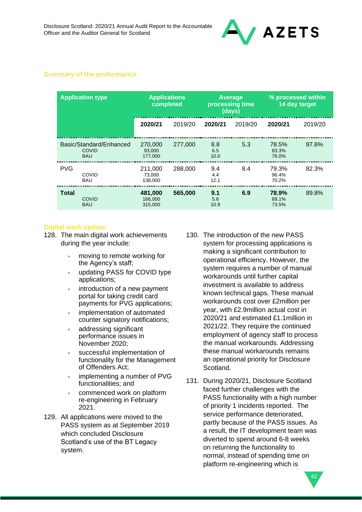

### **Summary of the performance**

| <b>Application type</b> |                                                       | <b>Applications</b><br>completed |         |                    | Average<br>processing time<br>(days) |                         | % processed within<br>14 day target |
|-------------------------|-------------------------------------------------------|----------------------------------|---------|--------------------|--------------------------------------|-------------------------|-------------------------------------|
|                         |                                                       | 2020/21                          | 2019/20 | 2020/21            | 2019/20                              | 2020/21                 | 2019/20                             |
|                         | Basic/Standard/Enhanced<br><b>COVID</b><br><b>BAU</b> | 270,000<br>93.000<br>177.000     | 277,000 | 8.8<br>6.5<br>10.0 | 5.3                                  | 78.5%<br>83.3%<br>76.0% | $97.6\%$                            |
| <b>PVG</b>              | COVID<br><b>BAU</b>                                   | 211,000<br>73.000<br>138.000     | 288,000 | 9.4<br>4.4<br>12.1 | 8.4                                  | 79.3%<br>96.4%<br>70.2% | 82.3%                               |
| <b>Total</b>            | <b>COVID</b><br><b>BAU</b>                            | 481.000<br>166,000<br>315,000    | 565,000 | 9.1<br>5.6<br>10.9 | 6.9                                  | 78.9%<br>89.1%<br>73.5% | 89.8%                               |

#### **Digital work update**

128. The main digital work achievements during the year include:

- moving to remote working for the Agency's staff;
- updating PASS for COVID type applications;
- introduction of a new payment portal for taking credit card payments for PVG applications;
- implementation of automated counter signatory notifications;
- addressing significant performance issues in November 2020;
- successful implementation of functionality for the Management of Offenders Act;
- implementing a number of PVG functionalities; and
- commenced work on platform re-engineering in February 2021.
- 129. All applications were moved to the PASS system as at September 2019 which concluded Disclosure Scotland's use of the BT Legacy system.
- 130. The introduction of the new PASS system for processing applications is making a significant contribution to operational efficiency. However, the system requires a number of manual workarounds until further capital investment is available to address known technical gaps. These manual workarounds cost over £2million per year, with £2.9million actual cost in 2020/21 and estimated £1.1million in 2021/22. They require the continued employment of agency staff to process the manual workarounds. Addressing these manual workarounds remains an operational priority for Disclosure Scotland.
- 131. During 2020/21, Disclosure Scotland faced further challenges with the PASS functionality with a high number of priority 1 incidents reported. The service performance deteriorated, partly because of the PASS issues. As a result, the IT development team was diverted to spend around 6-8 weeks on returning the functionality to normal, instead of spending time on platform re-engineering which is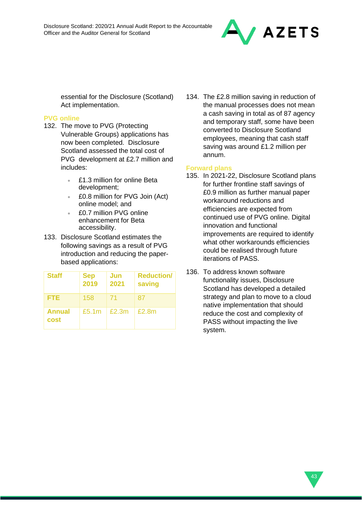

essential for the Disclosure (Scotland) Act implementation.

### **PVG online**

- 132. The move to PVG (Protecting Vulnerable Groups) applications has now been completed. Disclosure Scotland assessed the total cost of PVG development at £2.7 million and includes:
	- £1.3 million for online Beta development;
	- £0.8 million for PVG Join (Act) online model; and
	- £0.7 million PVG online enhancement for Beta accessibility.
- 133. Disclosure Scotland estimates the following savings as a result of PVG introduction and reducing the paperbased applications:

| <b>Staff</b>   | <b>Sep</b><br>2019 | Jun<br>2021 | <b>Reduction/</b><br>saving |
|----------------|--------------------|-------------|-----------------------------|
| <b>FTE</b>     | 158                | -71         | 87                          |
| Annual<br>cost | £5.1 <sub>m</sub>  | £2.3m       | £2.8m                       |

134. The £2.8 million saving in reduction of the manual processes does not mean a cash saving in total as of 87 agency and temporary staff, some have been converted to Disclosure Scotland employees, meaning that cash staff saving was around £1.2 million per annum.

### **Forward plans**

- 135. In 2021-22, Disclosure Scotland plans for further frontline staff savings of £0.9 million as further manual paper workaround reductions and efficiencies are expected from continued use of PVG online. Digital innovation and functional improvements are required to identify what other workarounds efficiencies could be realised through future iterations of PASS.
- 136. To address known software functionality issues, Disclosure Scotland has developed a detailed strategy and plan to move to a cloud native implementation that should reduce the cost and complexity of PASS without impacting the live system.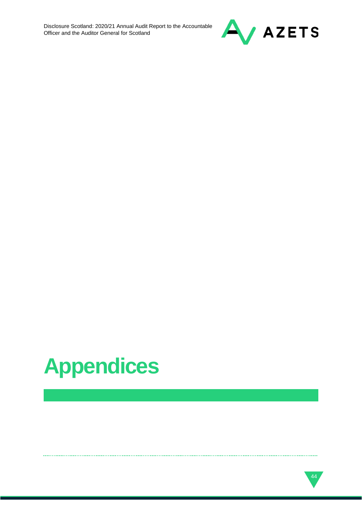

# **Appendices**

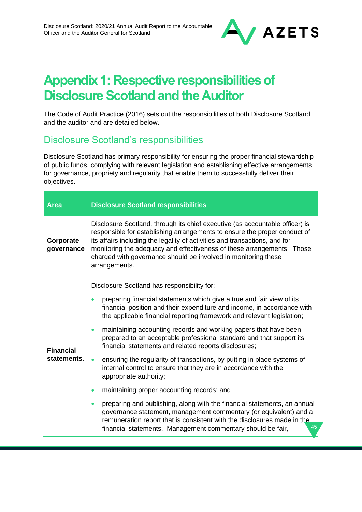

# **Appendix 1: Respective responsibilities of Disclosure Scotland and the Auditor**

The Code of Audit Practice (2016) sets out the responsibilities of both Disclosure Scotland and the auditor and are detailed below.

### Disclosure Scotland's responsibilities

Disclosure Scotland has primary responsibility for ensuring the proper financial stewardship of public funds, complying with relevant legislation and establishing effective arrangements for governance, propriety and regularity that enable them to successfully deliver their objectives.

| <b>Area</b>                     | <b>Disclosure Scotland responsibilities</b>                                                                                                                                                                                                                                                                                                                                                          |  |
|---------------------------------|------------------------------------------------------------------------------------------------------------------------------------------------------------------------------------------------------------------------------------------------------------------------------------------------------------------------------------------------------------------------------------------------------|--|
| Corporate<br>governance         | Disclosure Scotland, through its chief executive (as accountable officer) is<br>responsible for establishing arrangements to ensure the proper conduct of<br>its affairs including the legality of activities and transactions, and for<br>monitoring the adequacy and effectiveness of these arrangements. Those<br>charged with governance should be involved in monitoring these<br>arrangements. |  |
|                                 | Disclosure Scotland has responsibility for:                                                                                                                                                                                                                                                                                                                                                          |  |
| <b>Financial</b><br>statements. | preparing financial statements which give a true and fair view of its<br>financial position and their expenditure and income, in accordance with<br>the applicable financial reporting framework and relevant legislation;                                                                                                                                                                           |  |
|                                 | maintaining accounting records and working papers that have been<br>prepared to an acceptable professional standard and that support its<br>financial statements and related reports disclosures;                                                                                                                                                                                                    |  |
|                                 | ensuring the regularity of transactions, by putting in place systems of<br>internal control to ensure that they are in accordance with the<br>appropriate authority;                                                                                                                                                                                                                                 |  |
|                                 | maintaining proper accounting records; and                                                                                                                                                                                                                                                                                                                                                           |  |
|                                 | preparing and publishing, along with the financial statements, an annual<br>$\bullet$<br>governance statement, management commentary (or equivalent) and a<br>remuneration report that is consistent with the disclosures made in the<br>45<br>financial statements. Management commentary should be fair,                                                                                           |  |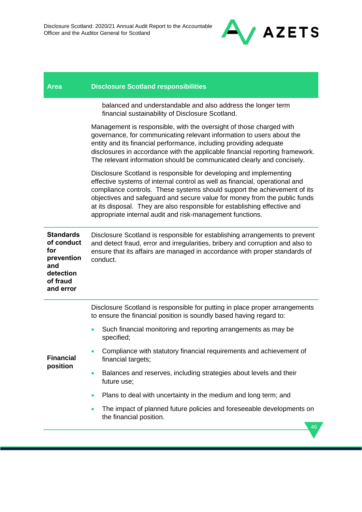

| <b>Area</b> | <b>Disclosure Scotland responsibilities</b> |  |
|-------------|---------------------------------------------|--|
|             |                                             |  |

balanced and understandable and also address the longer term financial sustainability of Disclosure Scotland.

Management is responsible, with the oversight of those charged with governance, for communicating relevant information to users about the entity and its financial performance, including providing adequate disclosures in accordance with the applicable financial reporting framework. The relevant information should be communicated clearly and concisely.

Disclosure Scotland is responsible for developing and implementing effective systems of internal control as well as financial, operational and compliance controls. These systems should support the achievement of its objectives and safeguard and secure value for money from the public funds at its disposal. They are also responsible for establishing effective and appropriate internal audit and risk-management functions.

| <b>Standards</b><br>of conduct<br>for<br>prevention<br>and<br>detection<br>of fraud<br>and error | Disclosure Scotland is responsible for establishing arrangements to prevent<br>and detect fraud, error and irregularities, bribery and corruption and also to<br>ensure that its affairs are managed in accordance with proper standards of<br>conduct. |
|--------------------------------------------------------------------------------------------------|---------------------------------------------------------------------------------------------------------------------------------------------------------------------------------------------------------------------------------------------------------|
|                                                                                                  | Disclosure Scotland is responsible for putting in place proper arrangements<br>to ensure the financial position is soundly based having regard to:                                                                                                      |
| <b>Financial</b><br>position                                                                     | Such financial monitoring and reporting arrangements as may be<br>specified;                                                                                                                                                                            |
|                                                                                                  | Compliance with statutory financial requirements and achievement of<br>financial targets;                                                                                                                                                               |
|                                                                                                  | Balances and reserves, including strategies about levels and their<br>$\bullet$<br>future use;                                                                                                                                                          |
|                                                                                                  | Plans to deal with uncertainty in the medium and long term; and                                                                                                                                                                                         |
|                                                                                                  | The impact of planned future policies and foreseeable developments on<br>$\bullet$<br>the financial position.                                                                                                                                           |
|                                                                                                  | 46                                                                                                                                                                                                                                                      |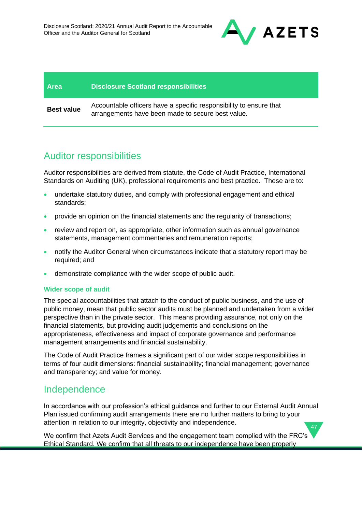

# **Area Disclosure Scotland responsibilities Best value** Accountable officers have a specific responsibility to ensure that arrangements have been made to secure best value.

# Auditor responsibilities

Auditor responsibilities are derived from statute, the Code of Audit Practice, International Standards on Auditing (UK), professional requirements and best practice. These are to:

- undertake statutory duties, and comply with professional engagement and ethical standards;
- provide an opinion on the financial statements and the regularity of transactions;
- review and report on, as appropriate, other information such as annual governance statements, management commentaries and remuneration reports;
- notify the Auditor General when circumstances indicate that a statutory report may be required; and
- demonstrate compliance with the wider scope of public audit.

### **Wider scope of audit**

The special accountabilities that attach to the conduct of public business, and the use of public money, mean that public sector audits must be planned and undertaken from a wider perspective than in the private sector. This means providing assurance, not only on the financial statements, but providing audit judgements and conclusions on the appropriateness, effectiveness and impact of corporate governance and performance management arrangements and financial sustainability.

The Code of Audit Practice frames a significant part of our wider scope responsibilities in terms of four audit dimensions: financial sustainability; financial management; governance and transparency; and value for money.

### Independence

47 In accordance with our profession's ethical guidance and further to our External Audit Annual Plan issued confirming audit arrangements there are no further matters to bring to your attention in relation to our integrity, objectivity and independence.

We confirm that Azets Audit Services and the engagement team complied with the FRC's Ethical Standard. We confirm that all threats to our independence have been properly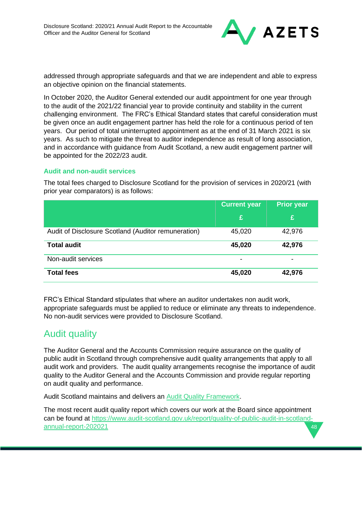

addressed through appropriate safeguards and that we are independent and able to express an objective opinion on the financial statements.

In October 2020, the Auditor General extended our audit appointment for one year through to the audit of the 2021/22 financial year to provide continuity and stability in the current challenging environment. The FRC's Ethical Standard states that careful consideration must be given once an audit engagement partner has held the role for a continuous period of ten years. Our period of total uninterrupted appointment as at the end of 31 March 2021 is six years. As such to mitigate the threat to auditor independence as result of long association, and in accordance with guidance from Audit Scotland, a new audit engagement partner will be appointed for the 2022/23 audit.

### **Audit and non-audit services**

The total fees charged to Disclosure Scotland for the provision of services in 2020/21 (with prior year comparators) is as follows:

|                                                     | <b>Current year</b> | Prior year |
|-----------------------------------------------------|---------------------|------------|
|                                                     | £                   | £          |
| Audit of Disclosure Scotland (Auditor remuneration) | 45,020              | 42,976     |
| <b>Total audit</b>                                  | 45,020              | 42,976     |
| Non-audit services                                  |                     |            |
| <b>Total fees</b>                                   | 45,020              | 42,976     |

FRC's Ethical Standard stipulates that where an auditor undertakes non audit work, appropriate safeguards must be applied to reduce or eliminate any threats to independence. No non-audit services were provided to Disclosure Scotland.

### Audit quality

The Auditor General and the Accounts Commission require assurance on the quality of public audit in Scotland through comprehensive audit quality arrangements that apply to all audit work and providers. The audit quality arrangements recognise the importance of audit quality to the Auditor General and the Accounts Commission and provide regular reporting on audit quality and performance.

Audit Scotland maintains and delivers an [Audit Quality Framework.](https://www.audit-scotland.gov.uk/report/audit-quality-framework-2019)

48 The most recent audit quality report which covers our work at the Board since appointment can be found at [https://www.audit-scotland.gov.uk/report/quality-of-public-audit-in-scotland](https://www.audit-scotland.gov.uk/report/quality-of-public-audit-in-scotland-annual-report-202021)[annual-report-202021](https://www.audit-scotland.gov.uk/report/quality-of-public-audit-in-scotland-annual-report-202021)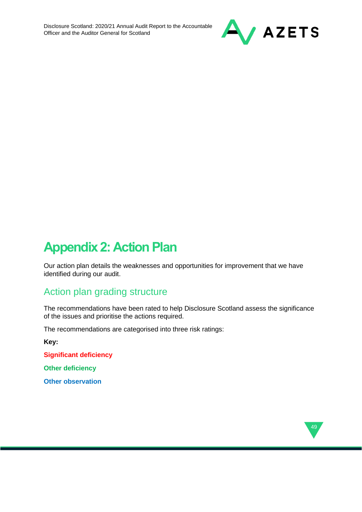

# **Appendix 2: Action Plan**

Our action plan details the weaknesses and opportunities for improvement that we have identified during our audit.

# Action plan grading structure

The recommendations have been rated to help Disclosure Scotland assess the significance of the issues and prioritise the actions required.

The recommendations are categorised into three risk ratings:

**Key:** 

**Significant deficiency**

**Other deficiency**

**Other observation**

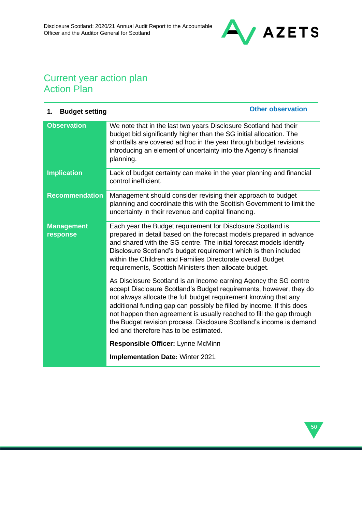

# Current year action plan Action Plan

| <b>Budget setting</b><br>1.   | <b>Other observation</b>                                                                                                                                                                                                                                                                                                                                                                                                                                                     |
|-------------------------------|------------------------------------------------------------------------------------------------------------------------------------------------------------------------------------------------------------------------------------------------------------------------------------------------------------------------------------------------------------------------------------------------------------------------------------------------------------------------------|
| <b>Observation</b>            | We note that in the last two years Disclosure Scotland had their<br>budget bid significantly higher than the SG initial allocation. The<br>shortfalls are covered ad hoc in the year through budget revisions<br>introducing an element of uncertainty into the Agency's financial<br>planning.                                                                                                                                                                              |
| <b>Implication</b>            | Lack of budget certainty can make in the year planning and financial<br>control inefficient.                                                                                                                                                                                                                                                                                                                                                                                 |
| <b>Recommendation</b>         | Management should consider revising their approach to budget<br>planning and coordinate this with the Scottish Government to limit the<br>uncertainty in their revenue and capital financing.                                                                                                                                                                                                                                                                                |
| <b>Management</b><br>response | Each year the Budget requirement for Disclosure Scotland is<br>prepared in detail based on the forecast models prepared in advance<br>and shared with the SG centre. The initial forecast models identify<br>Disclosure Scotland's budget requirement which is then included<br>within the Children and Families Directorate overall Budget<br>requirements, Scottish Ministers then allocate budget.                                                                        |
|                               | As Disclosure Scotland is an income earning Agency the SG centre<br>accept Disclosure Scotland's Budget requirements, however, they do<br>not always allocate the full budget requirement knowing that any<br>additional funding gap can possibly be filled by income. If this does<br>not happen then agreement is usually reached to fill the gap through<br>the Budget revision process. Disclosure Scotland's income is demand<br>led and therefore has to be estimated. |
|                               | Responsible Officer: Lynne McMinn                                                                                                                                                                                                                                                                                                                                                                                                                                            |
|                               | <b>Implementation Date: Winter 2021</b>                                                                                                                                                                                                                                                                                                                                                                                                                                      |

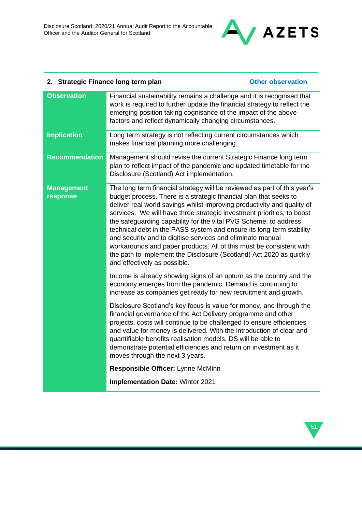

### **2. Strategic Finance long term plan CEL CONFINGUIST CONFIDENT CONFIDENT Other observation**

| <b>Observation</b>            | Financial sustainability remains a challenge and it is recognised that<br>work is required to further update the financial strategy to reflect the<br>emerging position taking cognisance of the impact of the above<br>factors and reflect dynamically changing circumstances.                                                                                                                                                                                                                                                                                                                                                                                                            |
|-------------------------------|--------------------------------------------------------------------------------------------------------------------------------------------------------------------------------------------------------------------------------------------------------------------------------------------------------------------------------------------------------------------------------------------------------------------------------------------------------------------------------------------------------------------------------------------------------------------------------------------------------------------------------------------------------------------------------------------|
| <b>Implication</b>            | Long term strategy is not reflecting current circumstances which<br>makes financial planning more challenging.                                                                                                                                                                                                                                                                                                                                                                                                                                                                                                                                                                             |
| <b>Recommendation</b>         | Management should revise the current Strategic Finance long term<br>plan to reflect impact of the pandemic and updated timetable for the<br>Disclosure (Scotland) Act implementation.                                                                                                                                                                                                                                                                                                                                                                                                                                                                                                      |
| <b>Management</b><br>response | The long term financial strategy will be reviewed as part of this year's<br>budget process. There is a strategic financial plan that seeks to<br>deliver real world savings whilst improving productivity and quality of<br>services. We will have three strategic investment priorities; to boost<br>the safeguarding capability for the vital PVG Scheme, to address<br>technical debt in the PASS system and ensure its long-term stability<br>and security and to digitise services and eliminate manual<br>workarounds and paper products. All of this must be consistent with<br>the path to implement the Disclosure (Scotland) Act 2020 as quickly<br>and effectively as possible. |
|                               | Income is already showing signs of an upturn as the country and the<br>economy emerges from the pandemic. Demand is continuing to<br>increase as companies get ready for new recruitment and growth.                                                                                                                                                                                                                                                                                                                                                                                                                                                                                       |
|                               | Disclosure Scotland's key focus is value for money, and through the<br>financial governance of the Act Delivery programme and other<br>projects, costs will continue to be challenged to ensure efficiencies<br>and value for money is delivered. With the introduction of clear and<br>quantifiable benefits realisation models, DS will be able to<br>demonstrate potential efficiencies and return on investment as it<br>moves through the next 3 years.                                                                                                                                                                                                                               |
|                               | Responsible Officer: Lynne McMinn                                                                                                                                                                                                                                                                                                                                                                                                                                                                                                                                                                                                                                                          |
|                               | <b>Implementation Date: Winter 2021</b>                                                                                                                                                                                                                                                                                                                                                                                                                                                                                                                                                                                                                                                    |

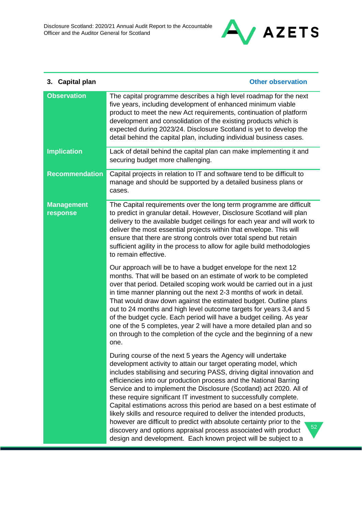

| 3. Capital plan               | <b>Other observation</b>                                                                                                                                                                                                                                                                                                                                                                                                                                                                                                                                                                                                                                                                                                                                                                           |
|-------------------------------|----------------------------------------------------------------------------------------------------------------------------------------------------------------------------------------------------------------------------------------------------------------------------------------------------------------------------------------------------------------------------------------------------------------------------------------------------------------------------------------------------------------------------------------------------------------------------------------------------------------------------------------------------------------------------------------------------------------------------------------------------------------------------------------------------|
| <b>Observation</b>            | The capital programme describes a high level roadmap for the next<br>five years, including development of enhanced minimum viable<br>product to meet the new Act requirements, continuation of platform<br>development and consolidation of the existing products which is<br>expected during 2023/24. Disclosure Scotland is yet to develop the<br>detail behind the capital plan, including individual business cases.                                                                                                                                                                                                                                                                                                                                                                           |
| <b>Implication</b>            | Lack of detail behind the capital plan can make implementing it and<br>securing budget more challenging.                                                                                                                                                                                                                                                                                                                                                                                                                                                                                                                                                                                                                                                                                           |
| <b>Recommendation</b>         | Capital projects in relation to IT and software tend to be difficult to<br>manage and should be supported by a detailed business plans or<br>cases.                                                                                                                                                                                                                                                                                                                                                                                                                                                                                                                                                                                                                                                |
| <b>Management</b><br>response | The Capital requirements over the long term programme are difficult<br>to predict in granular detail. However, Disclosure Scotland will plan<br>delivery to the available budget ceilings for each year and will work to<br>deliver the most essential projects within that envelope. This will<br>ensure that there are strong controls over total spend but retain<br>sufficient agility in the process to allow for agile build methodologies<br>to remain effective.                                                                                                                                                                                                                                                                                                                           |
|                               | Our approach will be to have a budget envelope for the next 12<br>months. That will be based on an estimate of work to be completed<br>over that period. Detailed scoping work would be carried out in a just<br>in time manner planning out the next 2-3 months of work in detail.<br>That would draw down against the estimated budget. Outline plans<br>out to 24 months and high level outcome targets for years 3,4 and 5<br>of the budget cycle. Each period will have a budget ceiling. As year<br>one of the 5 completes, year 2 will have a more detailed plan and so<br>on through to the completion of the cycle and the beginning of a new<br>one.                                                                                                                                     |
|                               | During course of the next 5 years the Agency will undertake<br>development activity to attain our target operating model, which<br>includes stabilising and securing PASS, driving digital innovation and<br>efficiencies into our production process and the National Barring<br>Service and to implement the Disclosure (Scotland) act 2020. All of<br>these require significant IT investment to successfully complete.<br>Capital estimations across this period are based on a best estimate of<br>likely skills and resource required to deliver the intended products,<br>however are difficult to predict with absolute certainty prior to the<br>52<br>discovery and options appraisal process associated with product<br>design and development. Each known project will be subject to a |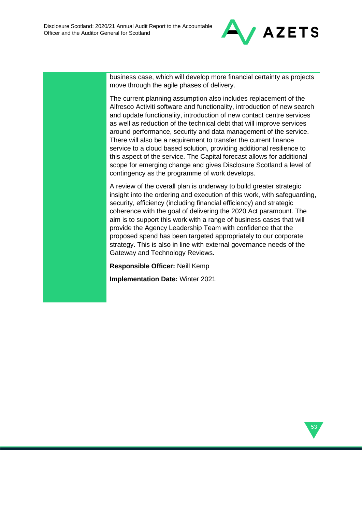

business case, which will develop more financial certainty as projects move through the agile phases of delivery.

The current planning assumption also includes replacement of the Alfresco Activiti software and functionality, introduction of new search and update functionality, introduction of new contact centre services as well as reduction of the technical debt that will improve services around performance, security and data management of the service. There will also be a requirement to transfer the current finance service to a cloud based solution, providing additional resilience to this aspect of the service. The Capital forecast allows for additional scope for emerging change and gives Disclosure Scotland a level of contingency as the programme of work develops.

A review of the overall plan is underway to build greater strategic insight into the ordering and execution of this work, with safeguarding, security, efficiency (including financial efficiency) and strategic coherence with the goal of delivering the 2020 Act paramount. The aim is to support this work with a range of business cases that will provide the Agency Leadership Team with confidence that the proposed spend has been targeted appropriately to our corporate strategy. This is also in line with external governance needs of the Gateway and Technology Reviews.

**Responsible Officer:** Neill Kemp

**Implementation Date:** Winter 2021